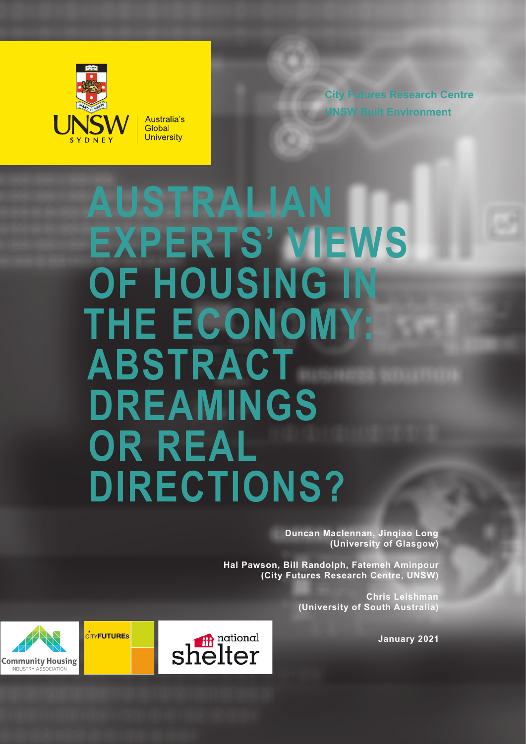

**City Futures Research Centre UNSW Built Environment**

# **AUSTRALIAN EXPERTS' VIEWS OF HOUSING IN THE ECONOMY: ABSTRACT DREAMINGS OR REAL DIRECTIONS?**

**Duncan Maclennan, Jinqiao Long (University of Glasgow)**

**Hal Pawson, Bill Randolph, Fatemeh Aminpour (City Futures Research Centre, UNSW)**

> **Chris Leishman (University of South Australia)**

> > **January 2021**



 $\dot{c}$ ry**futures** 

SOCIATION

**Community Housing INDUSTRY AS**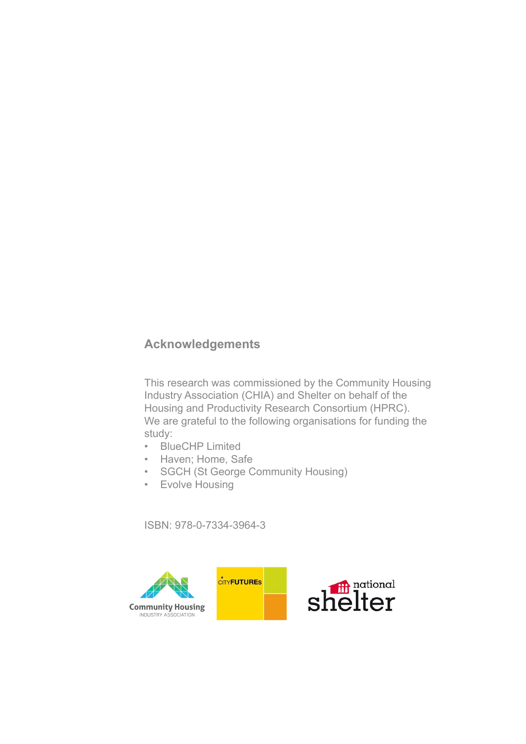# **Acknowledgements**

This research was commissioned by the Community Housing Industry Association (CHIA) and Shelter on behalf of the Housing and Productivity Research Consortium (HPRC). We are grateful to the following organisations for funding the study:

- BlueCHP Limited
- Haven; Home, Safe
- SGCH (St George Community Housing)
- Evolve Housing

ISBN: 978-0-7334-3964-3



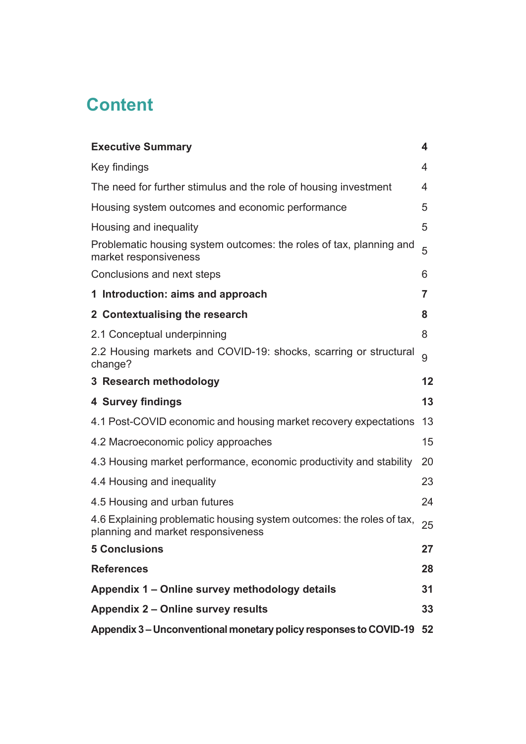# **Content**

| <b>Executive Summary</b>                                                                                    | 4  |
|-------------------------------------------------------------------------------------------------------------|----|
| Key findings                                                                                                | 4  |
| The need for further stimulus and the role of housing investment                                            | 4  |
| Housing system outcomes and economic performance                                                            | 5  |
| Housing and inequality                                                                                      | 5  |
| Problematic housing system outcomes: the roles of tax, planning and<br>market responsiveness                | 5  |
| Conclusions and next steps                                                                                  | 6  |
| 1 Introduction: aims and approach                                                                           | 7  |
| 2 Contextualising the research                                                                              | 8  |
| 2.1 Conceptual underpinning                                                                                 | 8  |
| 2.2 Housing markets and COVID-19: shocks, scarring or structural<br>change?                                 | 9  |
| 3 Research methodology                                                                                      | 12 |
| 4 Survey findings                                                                                           | 13 |
| 4.1 Post-COVID economic and housing market recovery expectations                                            | 13 |
| 4.2 Macroeconomic policy approaches                                                                         | 15 |
| 4.3 Housing market performance, economic productivity and stability                                         | 20 |
| 4.4 Housing and inequality                                                                                  | 23 |
| 4.5 Housing and urban futures                                                                               | 24 |
| 4.6 Explaining problematic housing system outcomes: the roles of tax,<br>planning and market responsiveness | 25 |
| <b>5 Conclusions</b>                                                                                        | 27 |
| <b>References</b>                                                                                           | 28 |
| Appendix 1 - Online survey methodology details                                                              | 31 |
| Appendix 2 - Online survey results                                                                          | 33 |
| Appendix 3 – Unconventional monetary policy responses to COVID-19                                           | 52 |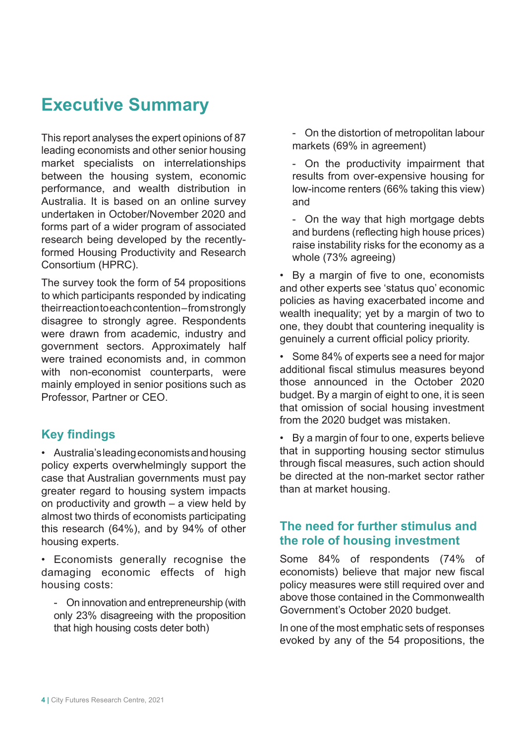# **Executive Summary**

This report analyses the expert opinions of 87 leading economists and other senior housing market specialists on interrelationships between the housing system, economic performance, and wealth distribution in Australia. It is based on an online survey undertaken in October/November 2020 and forms part of a wider program of associated research being developed by the recentlyformed Housing Productivity and Research Consortium (HPRC).

The survey took the form of 54 propositions to which participants responded by indicating their reaction to each contention – from strongly disagree to strongly agree. Respondents were drawn from academic, industry and government sectors. Approximately half were trained economists and, in common with non-economist counterparts, were mainly employed in senior positions such as Professor, Partner or CEO.

# **Key findings**

• Australia's leading economists and housing policy experts overwhelmingly support the case that Australian governments must pay greater regard to housing system impacts on productivity and growth – a view held by almost two thirds of economists participating this research (64%), and by 94% of other housing experts.

• Economists generally recognise the damaging economic effects of high housing costs:

- On innovation and entrepreneurship (with only 23% disagreeing with the proposition that high housing costs deter both)

- On the distortion of metropolitan labour markets (69% in agreement)

- On the productivity impairment that results from over-expensive housing for low-income renters (66% taking this view) and

- On the way that high mortgage debts and burdens (reflecting high house prices) raise instability risks for the economy as a whole (73% agreeing)

• By a margin of five to one, economists and other experts see 'status quo' economic policies as having exacerbated income and wealth inequality; yet by a margin of two to one, they doubt that countering inequality is genuinely a current official policy priority.

• Some 84% of experts see a need for major additional fiscal stimulus measures beyond those announced in the October 2020 budget. By a margin of eight to one, it is seen that omission of social housing investment from the 2020 budget was mistaken.

• By a margin of four to one, experts believe that in supporting housing sector stimulus through fiscal measures, such action should be directed at the non-market sector rather than at market housing.

### **The need for further stimulus and the role of housing investment**

Some 84% of respondents (74% of economists) believe that major new fiscal policy measures were still required over and above those contained in the Commonwealth Government's October 2020 budget.

In one of the most emphatic sets of responses evoked by any of the 54 propositions, the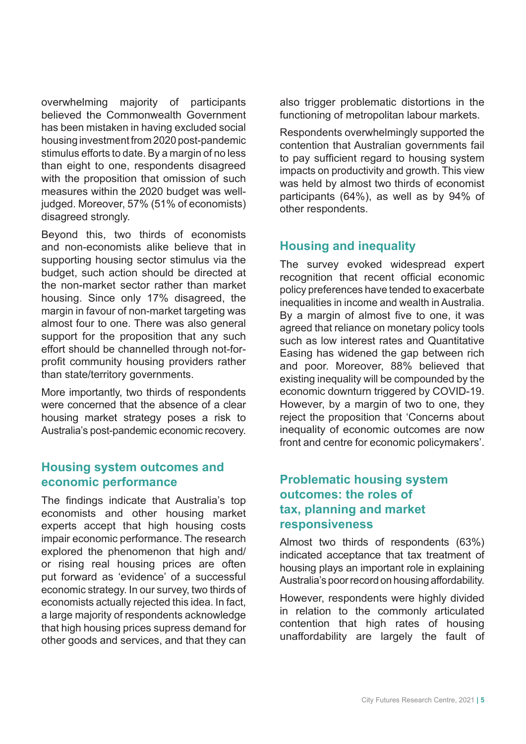overwhelming majority of participants believed the Commonwealth Government has been mistaken in having excluded social housing investment from 2020 post-pandemic stimulus efforts to date. By a margin of no less than eight to one, respondents disagreed with the proposition that omission of such measures within the 2020 budget was welljudged. Moreover, 57% (51% of economists) disagreed strongly.

Beyond this, two thirds of economists and non-economists alike believe that in supporting housing sector stimulus via the budget, such action should be directed at the non-market sector rather than market housing. Since only 17% disagreed, the margin in favour of non-market targeting was almost four to one. There was also general support for the proposition that any such effort should be channelled through not-forprofit community housing providers rather than state/territory governments.

More importantly, two thirds of respondents were concerned that the absence of a clear housing market strategy poses a risk to Australia's post-pandemic economic recovery.

#### **Housing system outcomes and economic performance**

The findings indicate that Australia's top economists and other housing market experts accept that high housing costs impair economic performance. The research explored the phenomenon that high and/ or rising real housing prices are often put forward as 'evidence' of a successful economic strategy. In our survey, two thirds of economists actually rejected this idea. In fact, a large majority of respondents acknowledge that high housing prices supress demand for other goods and services, and that they can

also trigger problematic distortions in the functioning of metropolitan labour markets.

Respondents overwhelmingly supported the contention that Australian governments fail to pay sufficient regard to housing system impacts on productivity and growth. This view was held by almost two thirds of economist participants (64%), as well as by 94% of other respondents.

### **Housing and inequality**

The survey evoked widespread expert recognition that recent official economic policy preferences have tended to exacerbate inequalities in income and wealth in Australia. By a margin of almost five to one, it was agreed that reliance on monetary policy tools such as low interest rates and Quantitative Easing has widened the gap between rich and poor. Moreover, 88% believed that existing inequality will be compounded by the economic downturn triggered by COVID-19. However, by a margin of two to one, they reject the proposition that 'Concerns about inequality of economic outcomes are now front and centre for economic policymakers'.

### **Problematic housing system outcomes: the roles of tax, planning and market responsiveness**

Almost two thirds of respondents (63%) indicated acceptance that tax treatment of housing plays an important role in explaining Australia's poor record on housing affordability.

However, respondents were highly divided in relation to the commonly articulated contention that high rates of housing unaffordability are largely the fault of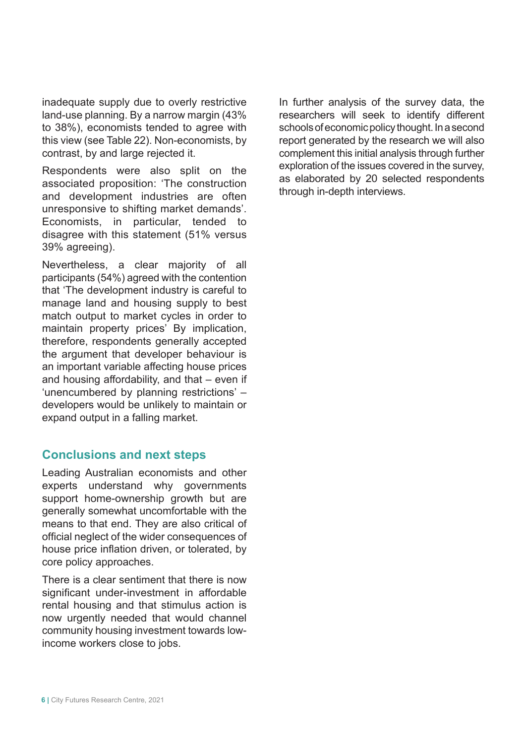inadequate supply due to overly restrictive land-use planning. By a narrow margin (43% to 38%), economists tended to agree with this view (see Table 22). Non-economists, by contrast, by and large rejected it.

Respondents were also split on the associated proposition: 'The construction and development industries are often unresponsive to shifting market demands'. Economists, in particular, tended to disagree with this statement (51% versus 39% agreeing).

Nevertheless, a clear majority of all participants (54%) agreed with the contention that 'The development industry is careful to manage land and housing supply to best match output to market cycles in order to maintain property prices' By implication, therefore, respondents generally accepted the argument that developer behaviour is an important variable affecting house prices and housing affordability, and that – even if 'unencumbered by planning restrictions' – developers would be unlikely to maintain or expand output in a falling market.

### **Conclusions and next steps**

Leading Australian economists and other experts understand why governments support home-ownership growth but are generally somewhat uncomfortable with the means to that end. They are also critical of official neglect of the wider consequences of house price inflation driven, or tolerated, by core policy approaches.

There is a clear sentiment that there is now significant under-investment in affordable rental housing and that stimulus action is now urgently needed that would channel community housing investment towards lowincome workers close to jobs.

In further analysis of the survey data, the researchers will seek to identify different schools of economic policy thought. In a second report generated by the research we will also complement this initial analysis through further exploration of the issues covered in the survey, as elaborated by 20 selected respondents through in-depth interviews.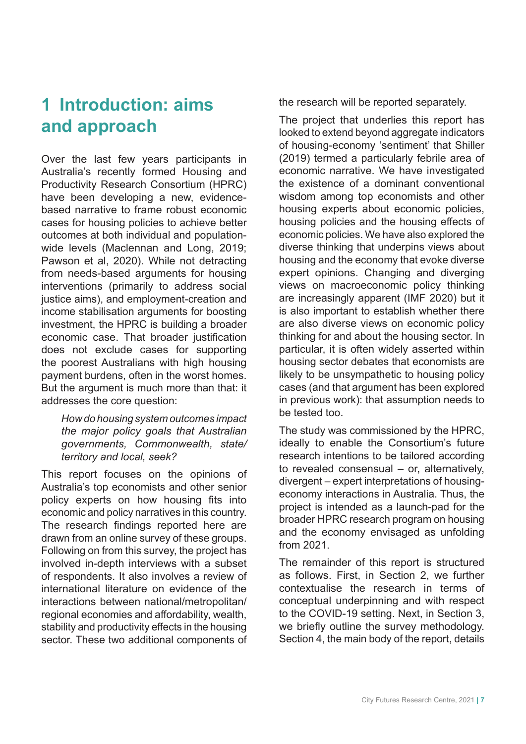# **1 Introduction: aims and approach**

Over the last few years participants in Australia's recently formed Housing and Productivity Research Consortium (HPRC) have been developing a new, evidencebased narrative to frame robust economic cases for housing policies to achieve better outcomes at both individual and populationwide levels (Maclennan and Long, 2019; Pawson et al, 2020). While not detracting from needs-based arguments for housing interventions (primarily to address social justice aims), and employment-creation and income stabilisation arguments for boosting investment, the HPRC is building a broader economic case. That broader justification does not exclude cases for supporting the poorest Australians with high housing payment burdens, often in the worst homes. But the argument is much more than that: it addresses the core question:

*How do housing system outcomes impact the major policy goals that Australian governments, Commonwealth, state/ territory and local, seek?* 

This report focuses on the opinions of Australia's top economists and other senior policy experts on how housing fits into economic and policy narratives in this country. The research findings reported here are drawn from an online survey of these groups. Following on from this survey, the project has involved in-depth interviews with a subset of respondents. It also involves a review of international literature on evidence of the interactions between national/metropolitan/ regional economies and affordability, wealth, stability and productivity effects in the housing sector. These two additional components of the research will be reported separately.

The project that underlies this report has looked to extend beyond aggregate indicators of housing-economy 'sentiment' that Shiller (2019) termed a particularly febrile area of economic narrative. We have investigated the existence of a dominant conventional wisdom among top economists and other housing experts about economic policies, housing policies and the housing effects of economic policies. We have also explored the diverse thinking that underpins views about housing and the economy that evoke diverse expert opinions. Changing and diverging views on macroeconomic policy thinking are increasingly apparent (IMF 2020) but it is also important to establish whether there are also diverse views on economic policy thinking for and about the housing sector. In particular, it is often widely asserted within housing sector debates that economists are likely to be unsympathetic to housing policy cases (and that argument has been explored in previous work): that assumption needs to be tested too.

The study was commissioned by the HPRC, ideally to enable the Consortium's future research intentions to be tailored according to revealed consensual – or, alternatively, divergent – expert interpretations of housingeconomy interactions in Australia. Thus, the project is intended as a launch-pad for the broader HPRC research program on housing and the economy envisaged as unfolding from 2021.

The remainder of this report is structured as follows. First, in Section 2, we further contextualise the research in terms of conceptual underpinning and with respect to the COVID-19 setting. Next, in Section 3, we briefly outline the survey methodology. Section 4, the main body of the report, details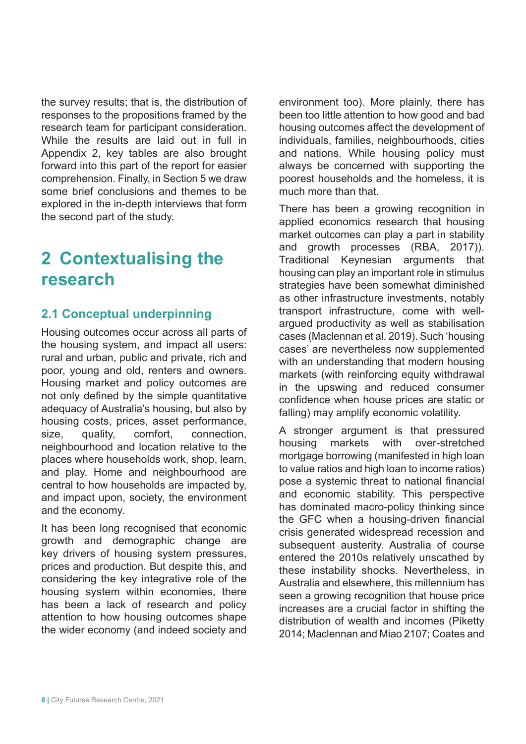the survey results; that is, the distribution of responses to the propositions framed by the research team for participant consideration. While the results are laid out in full in Appendix 2, key tables are also brought forward into this part of the report for easier comprehension. Finally, in Section 5 we draw some brief conclusions and themes to be explored in the in-depth interviews that form the second part of the study.

# **2 Contextualising the research**

# **2.1 Conceptual underpinning**

Housing outcomes occur across all parts of the housing system, and impact all users: rural and urban, public and private, rich and poor, young and old, renters and owners. Housing market and policy outcomes are not only defined by the simple quantitative adequacy of Australia's housing, but also by housing costs, prices, asset performance, size, quality, comfort, connection, neighbourhood and location relative to the places where households work, shop, learn, and play. Home and neighbourhood are central to how households are impacted by, and impact upon, society, the environment and the economy.

It has been long recognised that economic growth and demographic change are key drivers of housing system pressures, prices and production. But despite this, and considering the key integrative role of the housing system within economies, there has been a lack of research and policy attention to how housing outcomes shape the wider economy (and indeed society and

environment too). More plainly, there has been too little attention to how good and bad housing outcomes affect the development of individuals, families, neighbourhoods, cities and nations. While housing policy must always be concerned with supporting the poorest households and the homeless, it is much more than that.

There has been a growing recognition in applied economics research that housing market outcomes can play a part in stability and growth processes (RBA, 2017)). Traditional Keynesian arguments that housing can play an important role in stimulus strategies have been somewhat diminished as other infrastructure investments, notably transport infrastructure, come with wellargued productivity as well as stabilisation cases (Maclennan et al. 2019). Such 'housing cases' are nevertheless now supplemented with an understanding that modern housing markets (with reinforcing equity withdrawal in the upswing and reduced consumer confidence when house prices are static or falling) may amplify economic volatility.

A stronger argument is that pressured housing markets with over-stretched mortgage borrowing (manifested in high loan to value ratios and high loan to income ratios) pose a systemic threat to national financial and economic stability. This perspective has dominated macro-policy thinking since the GFC when a housing-driven financial crisis generated widespread recession and subsequent austerity. Australia of course entered the 2010s relatively unscathed by these instability shocks. Nevertheless, in Australia and elsewhere, this millennium has seen a growing recognition that house price increases are a crucial factor in shifting the distribution of wealth and incomes (Piketty 2014; Maclennan and Miao 2107; Coates and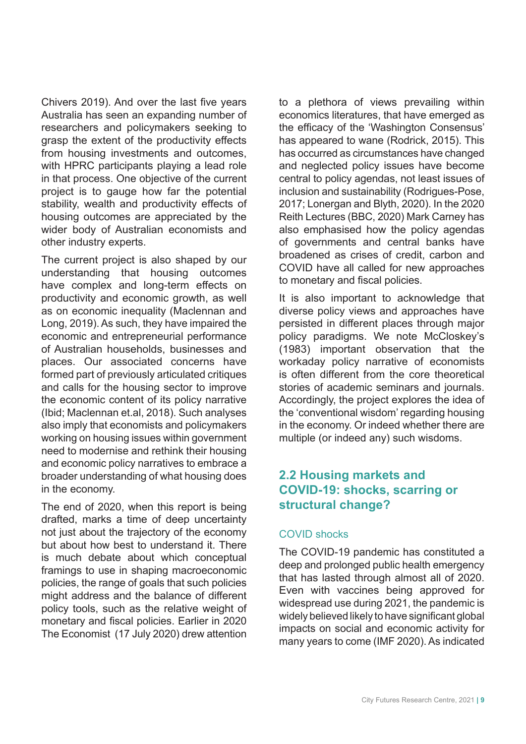Chivers 2019). And over the last five years Australia has seen an expanding number of researchers and policymakers seeking to grasp the extent of the productivity effects from housing investments and outcomes, with HPRC participants playing a lead role in that process. One objective of the current project is to gauge how far the potential stability, wealth and productivity effects of housing outcomes are appreciated by the wider body of Australian economists and other industry experts.

The current project is also shaped by our understanding that housing outcomes have complex and long-term effects on productivity and economic growth, as well as on economic inequality (Maclennan and Long, 2019). As such, they have impaired the economic and entrepreneurial performance of Australian households, businesses and places. Our associated concerns have formed part of previously articulated critiques and calls for the housing sector to improve the economic content of its policy narrative (Ibid; Maclennan et.al, 2018). Such analyses also imply that economists and policymakers working on housing issues within government need to modernise and rethink their housing and economic policy narratives to embrace a broader understanding of what housing does in the economy.

The end of 2020, when this report is being drafted, marks a time of deep uncertainty not just about the trajectory of the economy but about how best to understand it. There is much debate about which conceptual framings to use in shaping macroeconomic policies, the range of goals that such policies might address and the balance of different policy tools, such as the relative weight of monetary and fiscal policies. Earlier in 2020 The Economist (17 July 2020) drew attention to a plethora of views prevailing within economics literatures, that have emerged as the efficacy of the 'Washington Consensus' has appeared to wane (Rodrick, 2015). This has occurred as circumstances have changed and neglected policy issues have become central to policy agendas, not least issues of inclusion and sustainability (Rodrigues-Pose, 2017; Lonergan and Blyth, 2020). In the 2020 Reith Lectures (BBC, 2020) Mark Carney has also emphasised how the policy agendas of governments and central banks have broadened as crises of credit, carbon and COVID have all called for new approaches to monetary and fiscal policies.

It is also important to acknowledge that diverse policy views and approaches have persisted in different places through major policy paradigms. We note McCloskey's (1983) important observation that the workaday policy narrative of economists is often different from the core theoretical stories of academic seminars and journals. Accordingly, the project explores the idea of the 'conventional wisdom' regarding housing in the economy. Or indeed whether there are multiple (or indeed any) such wisdoms.

### **2.2 Housing markets and COVID-19: shocks, scarring or structural change?**

#### COVID shocks

The COVID-19 pandemic has constituted a deep and prolonged public health emergency that has lasted through almost all of 2020. Even with vaccines being approved for widespread use during 2021, the pandemic is widely believed likely to have significant global impacts on social and economic activity for many years to come (IMF 2020). As indicated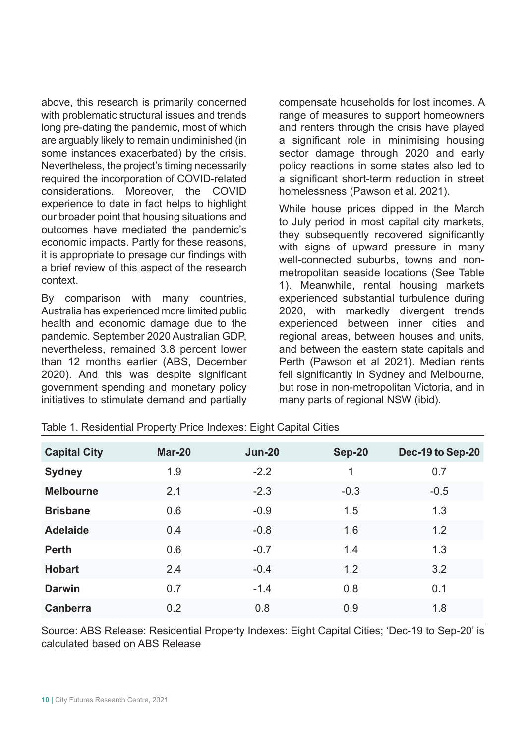above, this research is primarily concerned with problematic structural issues and trends long pre-dating the pandemic, most of which are arguably likely to remain undiminished (in some instances exacerbated) by the crisis. Nevertheless, the project's timing necessarily required the incorporation of COVID-related considerations. Moreover, the COVID experience to date in fact helps to highlight our broader point that housing situations and outcomes have mediated the pandemic's economic impacts. Partly for these reasons, it is appropriate to presage our findings with a brief review of this aspect of the research context.

By comparison with many countries, Australia has experienced more limited public health and economic damage due to the pandemic. September 2020 Australian GDP, nevertheless, remained 3.8 percent lower than 12 months earlier (ABS, December 2020). And this was despite significant government spending and monetary policy initiatives to stimulate demand and partially compensate households for lost incomes. A range of measures to support homeowners and renters through the crisis have played a significant role in minimising housing sector damage through 2020 and early policy reactions in some states also led to a significant short-term reduction in street homelessness (Pawson et al. 2021).

While house prices dipped in the March to July period in most capital city markets, they subsequently recovered significantly with signs of upward pressure in many well-connected suburbs, towns and nonmetropolitan seaside locations (See Table 1). Meanwhile, rental housing markets experienced substantial turbulence during 2020, with markedly divergent trends experienced between inner cities and regional areas, between houses and units, and between the eastern state capitals and Perth (Pawson et al 2021). Median rents fell significantly in Sydney and Melbourne, but rose in non-metropolitan Victoria, and in many parts of regional NSW (ibid).

| <b>Capital City</b> | Mar-20 | <b>Jun-20</b> | <b>Sep-20</b> | Dec-19 to Sep-20 |
|---------------------|--------|---------------|---------------|------------------|
| <b>Sydney</b>       | 1.9    | $-2.2$        | 1             | 0.7              |
| <b>Melbourne</b>    | 2.1    | $-2.3$        | $-0.3$        | $-0.5$           |
| <b>Brisbane</b>     | 0.6    | $-0.9$        | 1.5           | 1.3              |
| <b>Adelaide</b>     | 0.4    | $-0.8$        | 1.6           | 1.2              |
| <b>Perth</b>        | 0.6    | $-0.7$        | 1.4           | 1.3              |
| <b>Hobart</b>       | 2.4    | $-0.4$        | 1.2           | 3.2              |
| <b>Darwin</b>       | 0.7    | $-1.4$        | 0.8           | 0.1              |
| <b>Canberra</b>     | 0.2    | 0.8           | 0.9           | 1.8              |

Table 1. Residential Property Price Indexes: Eight Capital Cities

Source: ABS Release: Residential Property Indexes: Eight Capital Cities; 'Dec-19 to Sep-20' is calculated based on ABS Release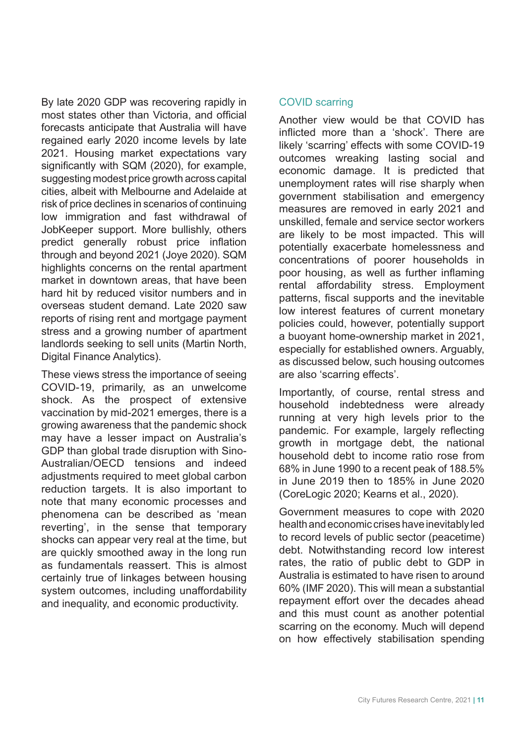By late 2020 GDP was recovering rapidly in most states other than Victoria, and official forecasts anticipate that Australia will have regained early 2020 income levels by late 2021. Housing market expectations vary significantly with SQM (2020), for example, suggesting modest price growth across capital cities, albeit with Melbourne and Adelaide at risk of price declines in scenarios of continuing low immigration and fast withdrawal of JobKeeper support. More bullishly, others predict generally robust price inflation through and beyond 2021 (Joye 2020). SQM highlights concerns on the rental apartment market in downtown areas, that have been hard hit by reduced visitor numbers and in overseas student demand. Late 2020 saw reports of rising rent and mortgage payment stress and a growing number of apartment landlords seeking to sell units (Martin North, Digital Finance Analytics).

These views stress the importance of seeing COVID-19, primarily, as an unwelcome shock. As the prospect of extensive vaccination by mid-2021 emerges, there is a growing awareness that the pandemic shock may have a lesser impact on Australia's GDP than global trade disruption with Sino-Australian/OECD tensions and indeed adjustments required to meet global carbon reduction targets. It is also important to note that many economic processes and phenomena can be described as 'mean reverting', in the sense that temporary shocks can appear very real at the time, but are quickly smoothed away in the long run as fundamentals reassert. This is almost certainly true of linkages between housing system outcomes, including unaffordability and inequality, and economic productivity.

#### COVID scarring

Another view would be that COVID has inflicted more than a 'shock'. There are likely 'scarring' effects with some COVID-19 outcomes wreaking lasting social and economic damage. It is predicted that unemployment rates will rise sharply when government stabilisation and emergency measures are removed in early 2021 and unskilled, female and service sector workers are likely to be most impacted. This will potentially exacerbate homelessness and concentrations of poorer households in poor housing, as well as further inflaming rental affordability stress. Employment patterns, fiscal supports and the inevitable low interest features of current monetary policies could, however, potentially support a buoyant home-ownership market in 2021, especially for established owners. Arguably, as discussed below, such housing outcomes are also 'scarring effects'.

Importantly, of course, rental stress and household indebtedness were already running at very high levels prior to the pandemic. For example, largely reflecting growth in mortgage debt, the national household debt to income ratio rose from 68% in June 1990 to a recent peak of 188.5% in June 2019 then to 185% in June 2020 (CoreLogic 2020; Kearns et al., 2020).

Government measures to cope with 2020 health and economic crises have inevitably led to record levels of public sector (peacetime) debt. Notwithstanding record low interest rates, the ratio of public debt to GDP in Australia is estimated to have risen to around 60% (IMF 2020). This will mean a substantial repayment effort over the decades ahead and this must count as another potential scarring on the economy. Much will depend on how effectively stabilisation spending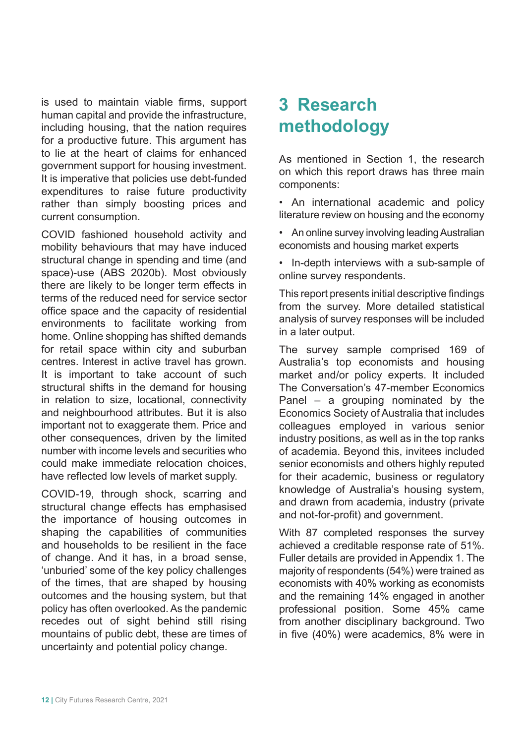is used to maintain viable firms, support human capital and provide the infrastructure, including housing, that the nation requires for a productive future. This argument has to lie at the heart of claims for enhanced government support for housing investment. It is imperative that policies use debt-funded expenditures to raise future productivity rather than simply boosting prices and current consumption.

COVID fashioned household activity and mobility behaviours that may have induced structural change in spending and time (and space)-use (ABS 2020b). Most obviously there are likely to be longer term effects in terms of the reduced need for service sector office space and the capacity of residential environments to facilitate working from home. Online shopping has shifted demands for retail space within city and suburban centres. Interest in active travel has grown. It is important to take account of such structural shifts in the demand for housing in relation to size, locational, connectivity and neighbourhood attributes. But it is also important not to exaggerate them. Price and other consequences, driven by the limited number with income levels and securities who could make immediate relocation choices, have reflected low levels of market supply.

COVID-19, through shock, scarring and structural change effects has emphasised the importance of housing outcomes in shaping the capabilities of communities and households to be resilient in the face of change. And it has, in a broad sense, 'unburied' some of the key policy challenges of the times, that are shaped by housing outcomes and the housing system, but that policy has often overlooked. As the pandemic recedes out of sight behind still rising mountains of public debt, these are times of uncertainty and potential policy change.

# **3 Research methodology**

As mentioned in Section 1, the research on which this report draws has three main components:

• An international academic and policy literature review on housing and the economy

- An online survey involving leading Australian economists and housing market experts
- In-depth interviews with a sub-sample of online survey respondents.

This report presents initial descriptive findings from the survey. More detailed statistical analysis of survey responses will be included in a later output.

The survey sample comprised 169 of Australia's top economists and housing market and/or policy experts. It included The Conversation's 47-member Economics Panel – a grouping nominated by the Economics Society of Australia that includes colleagues employed in various senior industry positions, as well as in the top ranks of academia. Beyond this, invitees included senior economists and others highly reputed for their academic, business or regulatory knowledge of Australia's housing system, and drawn from academia, industry (private and not-for-profit) and government.

With 87 completed responses the survey achieved a creditable response rate of 51%. Fuller details are provided in Appendix 1. The majority of respondents (54%) were trained as economists with 40% working as economists and the remaining 14% engaged in another professional position. Some 45% came from another disciplinary background. Two in five (40%) were academics, 8% were in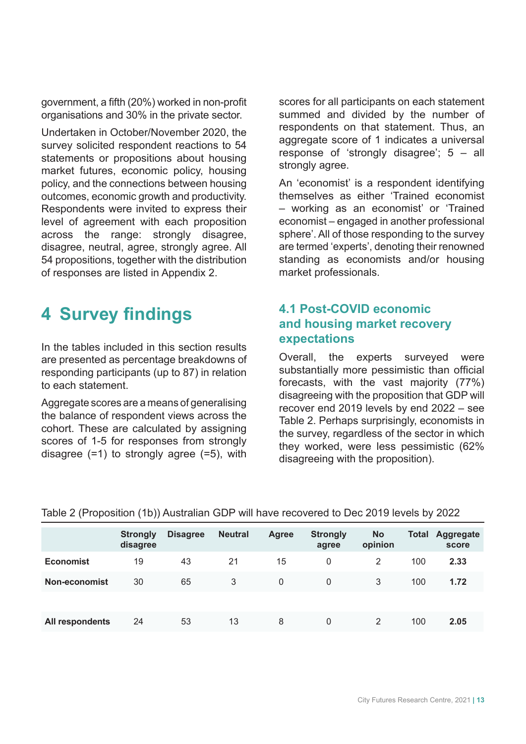government, a fifth (20%) worked in non-profit organisations and 30% in the private sector.

Undertaken in October/November 2020, the survey solicited respondent reactions to 54 statements or propositions about housing market futures, economic policy, housing policy, and the connections between housing outcomes, economic growth and productivity. Respondents were invited to express their level of agreement with each proposition across the range: strongly disagree, disagree, neutral, agree, strongly agree. All 54 propositions, together with the distribution of responses are listed in Appendix 2.

# **4 Survey findings**

In the tables included in this section results are presented as percentage breakdowns of responding participants (up to 87) in relation to each statement.

Aggregate scores are a means of generalising the balance of respondent views across the cohort. These are calculated by assigning scores of 1-5 for responses from strongly disagree  $(=1)$  to strongly agree  $(=5)$ , with

scores for all participants on each statement summed and divided by the number of respondents on that statement. Thus, an aggregate score of 1 indicates a universal response of 'strongly disagree'; 5 – all strongly agree.

An 'economist' is a respondent identifying themselves as either 'Trained economist – working as an economist' or 'Trained economist – engaged in another professional sphere'. All of those responding to the survey are termed 'experts', denoting their renowned standing as economists and/or housing market professionals.

### **4.1 Post-COVID economic and housing market recovery expectations**

Overall, the experts surveyed were substantially more pessimistic than official forecasts, with the vast majority (77%) disagreeing with the proposition that GDP will recover end 2019 levels by end 2022 – see Table 2. Perhaps surprisingly, economists in the survey, regardless of the sector in which they worked, were less pessimistic (62% disagreeing with the proposition).

|                  | <b>Strongly</b><br>disagree | <b>Disagree</b> | <b>Neutral</b> | <b>Agree</b> | <b>Strongly</b><br>agree | <b>No</b><br>opinion | Total | Aggregate<br>score |
|------------------|-----------------------------|-----------------|----------------|--------------|--------------------------|----------------------|-------|--------------------|
| <b>Economist</b> | 19                          | 43              | 21             | 15           | 0                        | 2                    | 100   | 2.33               |
| Non-economist    | 30                          | 65              | 3              | 0            | 0                        | 3                    | 100   | 1.72               |
|                  |                             |                 |                |              |                          |                      |       |                    |
| All respondents  | 24                          | 53              | 13             | 8            | 0                        | 2                    | 100   | 2.05               |

|  |  |  | Table 2 (Proposition (1b)) Australian GDP will have recovered to Dec 2019 levels by 2022 |  |  |
|--|--|--|------------------------------------------------------------------------------------------|--|--|
|--|--|--|------------------------------------------------------------------------------------------|--|--|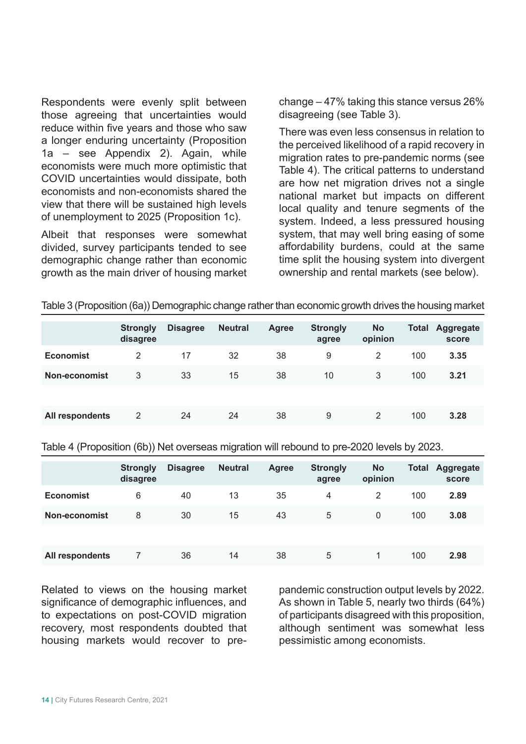Respondents were evenly split between those agreeing that uncertainties would reduce within five years and those who saw a longer enduring uncertainty (Proposition 1a – see Appendix 2). Again, while economists were much more optimistic that COVID uncertainties would dissipate, both economists and non-economists shared the view that there will be sustained high levels of unemployment to 2025 (Proposition 1c).

Albeit that responses were somewhat divided, survey participants tended to see demographic change rather than economic growth as the main driver of housing market change – 47% taking this stance versus 26% disagreeing (see Table 3).

There was even less consensus in relation to the perceived likelihood of a rapid recovery in migration rates to pre-pandemic norms (see Table 4). The critical patterns to understand are how net migration drives not a single national market but impacts on different local quality and tenure segments of the system. Indeed, a less pressured housing system, that may well bring easing of some affordability burdens, could at the same time split the housing system into divergent ownership and rental markets (see below).

|                  | <b>Strongly</b><br>disagree | <b>Disagree</b> | <b>Neutral</b> | <b>Agree</b> | <b>Strongly</b><br>agree | <b>No</b><br>opinion | Total | <b>Aggregate</b><br>score |
|------------------|-----------------------------|-----------------|----------------|--------------|--------------------------|----------------------|-------|---------------------------|
| <b>Economist</b> | 2                           | 17              | 32             | 38           | 9                        | 2                    | 100   | 3.35                      |
| Non-economist    | 3                           | 33              | 15             | 38           | 10                       | 3                    | 100   | 3.21                      |
|                  |                             |                 |                |              |                          |                      |       |                           |
| All respondents  | 2                           | 24              | 24             | 38           | 9                        | 2                    | 100   | 3.28                      |

Table 3 (Proposition (6a)) Demographic change rather than economic growth drives the housing market

Table 4 (Proposition (6b)) Net overseas migration will rebound to pre-2020 levels by 2023.

|                  | <b>Strongly</b><br>disagree | <b>Disagree</b> | <b>Neutral</b> | <b>Agree</b> | <b>Strongly</b><br>agree | <b>No</b><br>opinion | <b>Total</b> | <b>Aggregate</b><br>score |
|------------------|-----------------------------|-----------------|----------------|--------------|--------------------------|----------------------|--------------|---------------------------|
| <b>Economist</b> | 6                           | 40              | 13             | 35           | 4                        | 2                    | 100          | 2.89                      |
| Non-economist    | 8                           | 30              | 15             | 43           | 5                        | $\Omega$             | 100          | 3.08                      |
|                  |                             |                 |                |              |                          |                      |              |                           |
| All respondents  |                             | 36              | 14             | 38           | 5                        |                      | 100          | 2.98                      |

Related to views on the housing market significance of demographic influences, and to expectations on post-COVID migration recovery, most respondents doubted that housing markets would recover to prepandemic construction output levels by 2022. As shown in Table 5, nearly two thirds (64%) of participants disagreed with this proposition, although sentiment was somewhat less pessimistic among economists.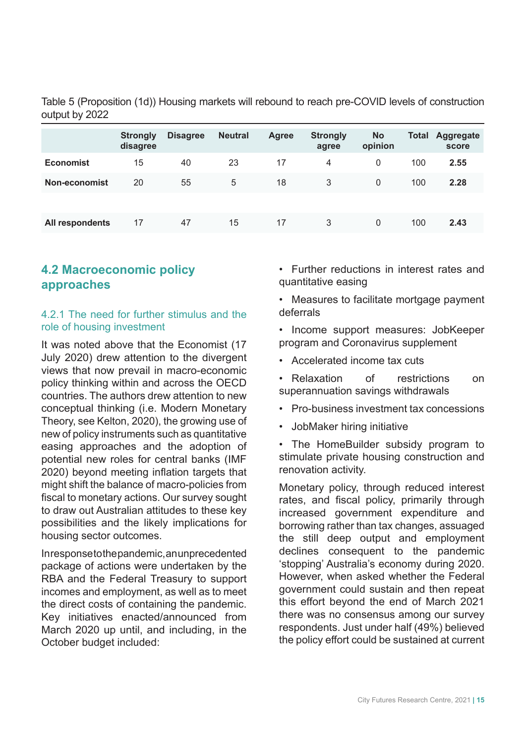|                  | <b>Strongly</b><br>disagree | <b>Disagree</b> | <b>Neutral</b> | <b>Agree</b> | <b>Strongly</b><br>agree | <b>No</b><br>opinion | Total | <b>Aggregate</b><br>score |
|------------------|-----------------------------|-----------------|----------------|--------------|--------------------------|----------------------|-------|---------------------------|
| <b>Economist</b> | 15                          | 40              | 23             | 17           | 4                        | 0                    | 100   | 2.55                      |
| Non-economist    | 20                          | 55              | 5              | 18           | 3                        | 0                    | 100   | 2.28                      |
|                  |                             |                 |                |              |                          |                      |       |                           |
| All respondents  | 17                          | 47              | 15             | 17           | 3                        | 0                    | 100   | 2.43                      |

Table 5 (Proposition (1d)) Housing markets will rebound to reach pre-COVID levels of construction output by 2022

## **4.2 Macroeconomic policy approaches**

#### 4.2.1 The need for further stimulus and the role of housing investment

It was noted above that the Economist (17 July 2020) drew attention to the divergent views that now prevail in macro-economic policy thinking within and across the OECD countries. The authors drew attention to new conceptual thinking (i.e. Modern Monetary Theory, see Kelton, 2020), the growing use of new of policy instruments such as quantitative easing approaches and the adoption of potential new roles for central banks (IMF 2020) beyond meeting inflation targets that might shift the balance of macro-policies from fiscal to monetary actions. Our survey sought to draw out Australian attitudes to these key possibilities and the likely implications for housing sector outcomes.

In response to the pandemic, an unprecedented package of actions were undertaken by the RBA and the Federal Treasury to support incomes and employment, as well as to meet the direct costs of containing the pandemic. Key initiatives enacted/announced from March 2020 up until, and including, in the October budget included:

• Further reductions in interest rates and quantitative easing

• Measures to facilitate mortgage payment deferrals

- Income support measures: JobKeeper program and Coronavirus supplement
- Accelerated income tax cuts
- Relaxation of restrictions on superannuation savings withdrawals
- Pro-business investment tax concessions
- JobMaker hiring initiative

• The HomeBuilder subsidy program to stimulate private housing construction and renovation activity.

Monetary policy, through reduced interest rates, and fiscal policy, primarily through increased government expenditure and borrowing rather than tax changes, assuaged the still deep output and employment declines consequent to the pandemic 'stopping' Australia's economy during 2020. However, when asked whether the Federal government could sustain and then repeat this effort beyond the end of March 2021 there was no consensus among our survey respondents. Just under half (49%) believed the policy effort could be sustained at current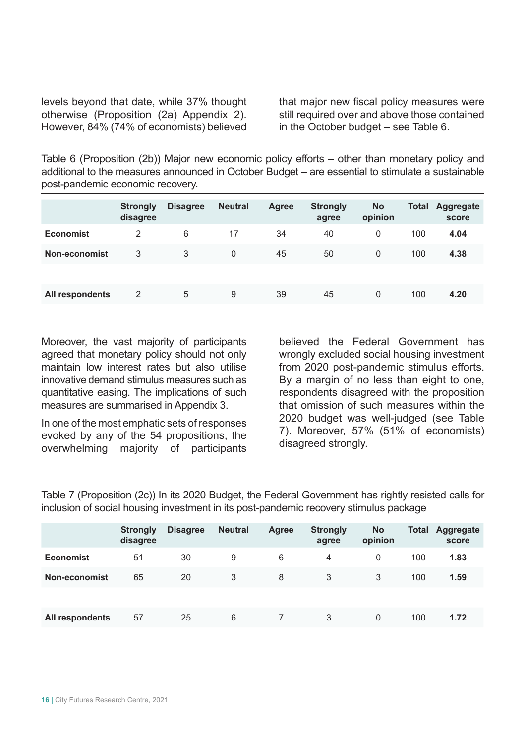levels beyond that date, while 37% thought otherwise (Proposition (2a) Appendix 2). However, 84% (74% of economists) believed that major new fiscal policy measures were still required over and above those contained in the October budget – see Table 6.

Table 6 (Proposition (2b)) Major new economic policy efforts – other than monetary policy and additional to the measures announced in October Budget – are essential to stimulate a sustainable post-pandemic economic recovery.

|                  | <b>Strongly</b><br>disagree | <b>Disagree</b> | <b>Neutral</b> | <b>Agree</b> | <b>Strongly</b><br>agree | <b>No</b><br>opinion | <b>Total</b> | Aggregate<br>score |
|------------------|-----------------------------|-----------------|----------------|--------------|--------------------------|----------------------|--------------|--------------------|
| <b>Economist</b> | 2                           | 6               | 17             | 34           | 40                       | $\mathbf{0}$         | 100          | 4.04               |
| Non-economist    | 3                           | 3               | 0              | 45           | 50                       | $\Omega$             | 100          | 4.38               |
|                  |                             |                 |                |              |                          |                      |              |                    |
| All respondents  | 2                           | 5               | 9              | 39           | 45                       | $\Omega$             | 100          | 4.20               |

Moreover, the vast majority of participants agreed that monetary policy should not only maintain low interest rates but also utilise innovative demand stimulus measures such as quantitative easing. The implications of such measures are summarised in Appendix 3.

In one of the most emphatic sets of responses evoked by any of the 54 propositions, the overwhelming majority of participants believed the Federal Government has wrongly excluded social housing investment from 2020 post-pandemic stimulus efforts. By a margin of no less than eight to one, respondents disagreed with the proposition that omission of such measures within the 2020 budget was well-judged (see Table 7). Moreover, 57% (51% of economists) disagreed strongly.

Table 7 (Proposition (2c)) In its 2020 Budget, the Federal Government has rightly resisted calls for inclusion of social housing investment in its post-pandemic recovery stimulus package

|                  | <b>Strongly</b><br>disagree | <b>Disagree</b> | <b>Neutral</b> | <b>Agree</b> | <b>Strongly</b><br>agree | <b>No</b><br>opinion | <b>Total</b> | Aggregate<br>score |
|------------------|-----------------------------|-----------------|----------------|--------------|--------------------------|----------------------|--------------|--------------------|
| <b>Economist</b> | 51                          | 30              | 9              | 6            | 4                        | 0                    | 100          | 1.83               |
| Non-economist    | 65                          | 20              | 3              | 8            | 3                        | 3                    | 100          | 1.59               |
|                  |                             |                 |                |              |                          |                      |              |                    |
| All respondents  | 57                          | 25              | 6              |              | 3                        | 0                    | 100          | 1.72               |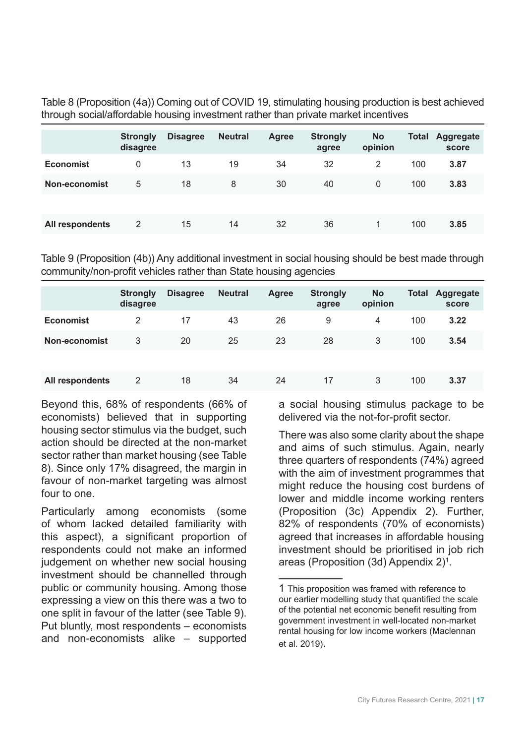Table 8 (Proposition (4a)) Coming out of COVID 19, stimulating housing production is best achieved through social/affordable housing investment rather than private market incentives

|                  | <b>Strongly</b><br>disagree | <b>Disagree</b> | <b>Neutral</b> | <b>Agree</b> | <b>Strongly</b><br>agree | <b>No</b><br>opinion | <b>Total</b> | <b>Aggregate</b><br>score |
|------------------|-----------------------------|-----------------|----------------|--------------|--------------------------|----------------------|--------------|---------------------------|
| <b>Economist</b> | 0                           | 13              | 19             | 34           | 32                       | 2                    | 100          | 3.87                      |
| Non-economist    | 5                           | 18              | 8              | 30           | 40                       | $\mathbf{0}$         | 100          | 3.83                      |
|                  |                             |                 |                |              |                          |                      |              |                           |
| All respondents  | 2                           | 15              | 14             | 32           | 36                       |                      | 100          | 3.85                      |

Table 9 (Proposition (4b)) Any additional investment in social housing should be best made through community/non-profit vehicles rather than State housing agencies

|                  | <b>Strongly</b><br>disagree | <b>Disagree</b> | <b>Neutral</b> | <b>Agree</b> | <b>Strongly</b><br>agree | <b>No</b><br>opinion | <b>Total</b> | <b>Aggregate</b><br>score |
|------------------|-----------------------------|-----------------|----------------|--------------|--------------------------|----------------------|--------------|---------------------------|
| <b>Economist</b> | 2                           | 17              | 43             | 26           | 9                        | 4                    | 100          | 3.22                      |
| Non-economist    | 3                           | 20              | 25             | 23           | 28                       | 3                    | 100          | 3.54                      |
|                  |                             |                 |                |              |                          |                      |              |                           |
| All respondents  | 2                           | 18              | 34             | 24           | 17                       | 3                    | 100          | 3.37                      |

Beyond this, 68% of respondents (66% of economists) believed that in supporting housing sector stimulus via the budget, such action should be directed at the non-market sector rather than market housing (see Table 8). Since only 17% disagreed, the margin in favour of non-market targeting was almost four to one.

Particularly among economists (some of whom lacked detailed familiarity with this aspect), a significant proportion of respondents could not make an informed judgement on whether new social housing investment should be channelled through public or community housing. Among those expressing a view on this there was a two to one split in favour of the latter (see Table 9). Put bluntly, most respondents – economists and non-economists alike – supported a social housing stimulus package to be delivered via the not-for-profit sector.

There was also some clarity about the shape and aims of such stimulus. Again, nearly three quarters of respondents (74%) agreed with the aim of investment programmes that might reduce the housing cost burdens of lower and middle income working renters (Proposition (3c) Appendix 2). Further, 82% of respondents (70% of economists) agreed that increases in affordable housing investment should be prioritised in job rich areas (Proposition (3d) Appendix 2)1 .

<sup>1</sup> This proposition was framed with reference to our earlier modelling study that quantified the scale of the potential net economic benefit resulting from government investment in well-located non-market rental housing for low income workers (Maclennan et al. 2019).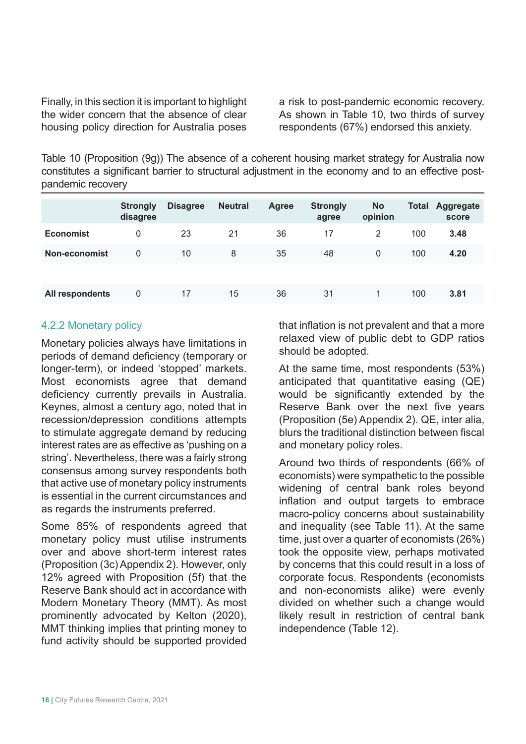Finally, in this section it is important to highlight the wider concern that the absence of clear housing policy direction for Australia poses

a risk to post-pandemic economic recovery. As shown in Table 10, two thirds of survey respondents (67%) endorsed this anxiety.

Table 10 (Proposition (9g)) The absence of a coherent housing market strategy for Australia now constitutes a significant barrier to structural adjustment in the economy and to an effective postpandemic recovery

|                  | <b>Strongly</b><br>disagree | <b>Disagree</b> | <b>Neutral</b> | <b>Agree</b> | <b>Strongly</b><br>agree | <b>No</b><br>opinion | <b>Total</b> | Aggregate<br>score |
|------------------|-----------------------------|-----------------|----------------|--------------|--------------------------|----------------------|--------------|--------------------|
| <b>Economist</b> | 0                           | 23              | 21             | 36           | 17                       | 2                    | 100          | 3.48               |
| Non-economist    | 0                           | 10              | 8              | 35           | 48                       | $\Omega$             | 100          | 4.20               |
|                  |                             |                 |                |              |                          |                      |              |                    |
| All respondents  | 0                           | 17              | 15             | 36           | 31                       |                      | 100          | 3.81               |

#### 4.2.2 Monetary policy

Monetary policies always have limitations in periods of demand deficiency (temporary or longer-term), or indeed 'stopped' markets. Most economists agree that demand deficiency currently prevails in Australia. Keynes, almost a century ago, noted that in recession/depression conditions attempts to stimulate aggregate demand by reducing interest rates are as effective as 'pushing on a string'. Nevertheless, there was a fairly strong consensus among survey respondents both that active use of monetary policy instruments is essential in the current circumstances and as regards the instruments preferred.

Some 85% of respondents agreed that monetary policy must utilise instruments over and above short-term interest rates (Proposition (3c) Appendix 2). However, only 12% agreed with Proposition (5f) that the Reserve Bank should act in accordance with Modern Monetary Theory (MMT). As most prominently advocated by Kelton (2020), MMT thinking implies that printing money to fund activity should be supported provided

that inflation is not prevalent and that a more relaxed view of public debt to GDP ratios should be adopted.

At the same time, most respondents (53%) anticipated that quantitative easing (QE) would be significantly extended by the Reserve Bank over the next five years (Proposition (5e) Appendix 2). QE, inter alia, blurs the traditional distinction between fiscal and monetary policy roles.

Around two thirds of respondents (66% of economists) were sympathetic to the possible widening of central bank roles beyond inflation and output targets to embrace macro-policy concerns about sustainability and inequality (see Table 11). At the same time, just over a quarter of economists (26%) took the opposite view, perhaps motivated by concerns that this could result in a loss of corporate focus. Respondents (economists and non-economists alike) were evenly divided on whether such a change would likely result in restriction of central bank independence (Table 12).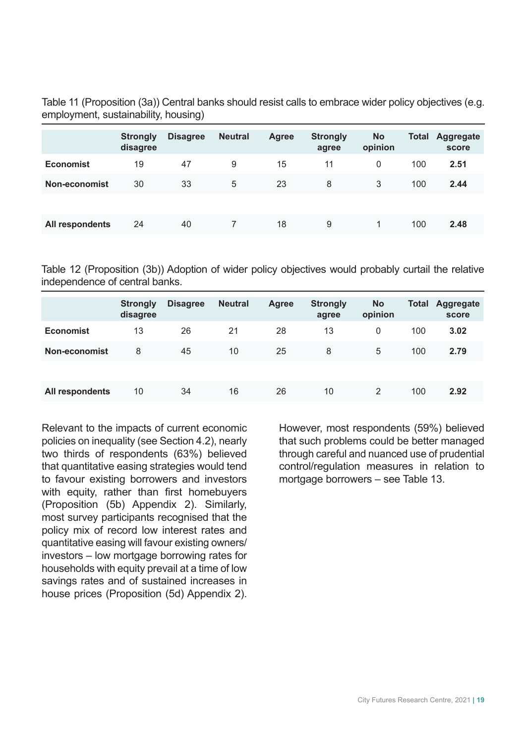Table 11 (Proposition (3a)) Central banks should resist calls to embrace wider policy objectives (e.g. employment, sustainability, housing)

|                  | <b>Strongly</b><br>disagree | <b>Disagree</b> | <b>Neutral</b> | <b>Agree</b> | <b>Strongly</b><br>agree | <b>No</b><br>opinion | <b>Total</b> | Aggregate<br>score |
|------------------|-----------------------------|-----------------|----------------|--------------|--------------------------|----------------------|--------------|--------------------|
| <b>Economist</b> | 19                          | 47              | 9              | 15           | 11                       | $\mathbf{0}$         | 100          | 2.51               |
| Non-economist    | 30                          | 33              | 5              | 23           | 8                        | 3                    | 100          | 2.44               |
|                  |                             |                 |                |              |                          |                      |              |                    |
| All respondents  | 24                          | 40              |                | 18           | 9                        | 1                    | 100          | 2.48               |

Table 12 (Proposition (3b)) Adoption of wider policy objectives would probably curtail the relative independence of central banks.

|                  | <b>Strongly</b><br>disagree | <b>Disagree</b> | <b>Neutral</b> | <b>Agree</b> | <b>Strongly</b><br>agree | <b>No</b><br>opinion | <b>Total</b> | Aggregate<br>score |
|------------------|-----------------------------|-----------------|----------------|--------------|--------------------------|----------------------|--------------|--------------------|
| <b>Economist</b> | 13                          | 26              | 21             | 28           | 13                       | $\mathbf{0}$         | 100          | 3.02               |
| Non-economist    | 8                           | 45              | 10             | 25           | 8                        | 5                    | 100          | 2.79               |
|                  |                             |                 |                |              |                          |                      |              |                    |
| All respondents  | 10                          | 34              | 16             | 26           | 10                       | 2                    | 100          | 2.92               |

Relevant to the impacts of current economic policies on inequality (see Section 4.2), nearly two thirds of respondents (63%) believed that quantitative easing strategies would tend to favour existing borrowers and investors with equity, rather than first homebuyers (Proposition (5b) Appendix 2). Similarly, most survey participants recognised that the policy mix of record low interest rates and quantitative easing will favour existing owners/ investors – low mortgage borrowing rates for households with equity prevail at a time of low savings rates and of sustained increases in house prices (Proposition (5d) Appendix 2).

However, most respondents (59%) believed that such problems could be better managed through careful and nuanced use of prudential control/regulation measures in relation to mortgage borrowers – see Table 13.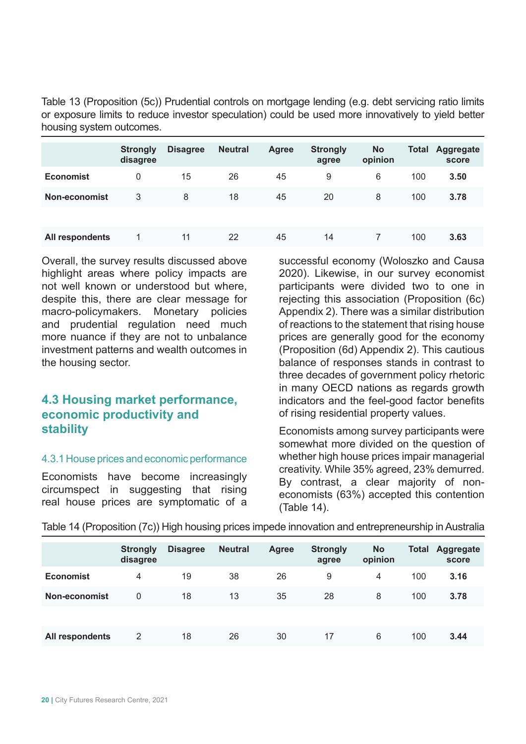Table 13 (Proposition (5c)) Prudential controls on mortgage lending (e.g. debt servicing ratio limits or exposure limits to reduce investor speculation) could be used more innovatively to yield better housing system outcomes.

|                      | <b>Strongly</b><br>disagree | <b>Disagree</b> | <b>Neutral</b> | <b>Agree</b> | <b>Strongly</b><br>agree | <b>No</b><br>opinion | <b>Total</b> | Aggregate<br>score |
|----------------------|-----------------------------|-----------------|----------------|--------------|--------------------------|----------------------|--------------|--------------------|
| <b>Economist</b>     | 0                           | 15              | 26             | 45           | 9                        | 6                    | 100          | 3.50               |
| <b>Non-economist</b> | 3                           | 8               | 18             | 45           | 20                       | 8                    | 100          | 3.78               |
|                      |                             |                 |                |              |                          |                      |              |                    |
| All respondents      |                             | 11              | 22             | 45           | 14                       |                      | 100          | 3.63               |

Overall, the survey results discussed above highlight areas where policy impacts are not well known or understood but where, despite this, there are clear message for macro-policymakers. Monetary policies and prudential regulation need much more nuance if they are not to unbalance investment patterns and wealth outcomes in the housing sector.

# **4.3 Housing market performance, economic productivity and stability**

#### 4.3.1 House prices and economic performance

Economists have become increasingly circumspect in suggesting that rising real house prices are symptomatic of a successful economy (Woloszko and Causa 2020). Likewise, in our survey economist participants were divided two to one in rejecting this association (Proposition (6c) Appendix 2). There was a similar distribution of reactions to the statement that rising house prices are generally good for the economy (Proposition (6d) Appendix 2). This cautious balance of responses stands in contrast to three decades of government policy rhetoric in many OECD nations as regards growth indicators and the feel-good factor benefits of rising residential property values.

Economists among survey participants were somewhat more divided on the question of whether high house prices impair managerial creativity. While 35% agreed, 23% demurred. By contrast, a clear majority of noneconomists (63%) accepted this contention (Table 14).

|                  | <b>Strongly</b><br>disagree | <b>Disagree</b> | <b>Neutral</b> | <b>Agree</b> | <b>Strongly</b><br>agree | <b>No</b><br>opinion | <b>Total</b> | <b>Aggregate</b><br>score |
|------------------|-----------------------------|-----------------|----------------|--------------|--------------------------|----------------------|--------------|---------------------------|
| <b>Economist</b> | 4                           | 19              | 38             | 26           | 9                        | 4                    | 100          | 3.16                      |
| Non-economist    | 0                           | 18              | 13             | 35           | 28                       | 8                    | 100          | 3.78                      |
|                  |                             |                 |                |              |                          |                      |              |                           |
| All respondents  | 2                           | 18              | 26             | 30           | 17                       | 6                    | 100          | 3.44                      |

Table 14 (Proposition (7c)) High housing prices impede innovation and entrepreneurship in Australia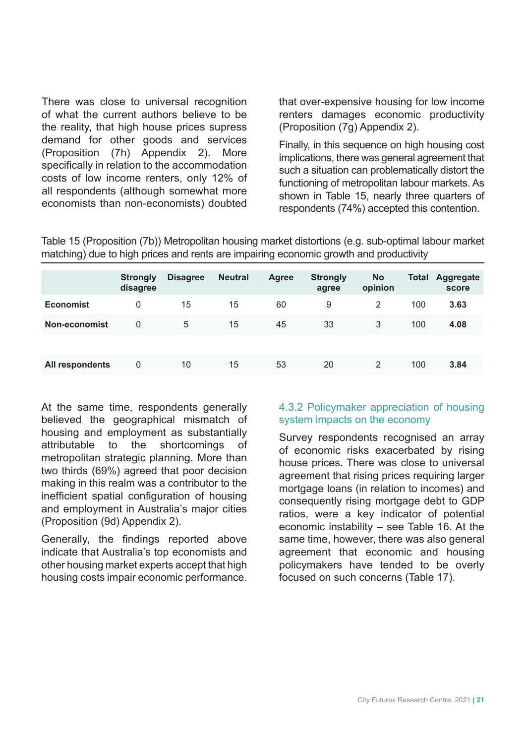There was close to universal recognition of what the current authors believe to be the reality, that high house prices supress demand for other goods and services (Proposition (7h) Appendix 2). More specifically in relation to the accommodation costs of low income renters, only 12% of all respondents (although somewhat more economists than non-economists) doubted that over-expensive housing for low income renters damages economic productivity (Proposition (7g) Appendix 2).

Finally, in this sequence on high housing cost implications, there was general agreement that such a situation can problematically distort the functioning of metropolitan labour markets. As shown in Table 15, nearly three quarters of respondents (74%) accepted this contention.

Table 15 (Proposition (7b)) Metropolitan housing market distortions (e.g. sub-optimal labour market matching) due to high prices and rents are impairing economic growth and productivity

|                  | <b>Strongly</b><br>disagree | <b>Disagree</b> | <b>Neutral</b> | <b>Agree</b> | <b>Strongly</b><br>agree | <b>No</b><br>opinion | <b>Total</b> | Aggregate<br>score |
|------------------|-----------------------------|-----------------|----------------|--------------|--------------------------|----------------------|--------------|--------------------|
| <b>Economist</b> | 0                           | 15              | 15             | 60           | 9                        | 2                    | 100          | 3.63               |
| Non-economist    | 0                           | 5               | 15             | 45           | 33                       | 3                    | 100          | 4.08               |
|                  |                             |                 |                |              |                          |                      |              |                    |
| All respondents  | 0                           | 10              | 15             | 53           | 20                       | 2                    | 100          | 3.84               |

At the same time, respondents generally believed the geographical mismatch of housing and employment as substantially attributable to the shortcomings of metropolitan strategic planning. More than two thirds (69%) agreed that poor decision making in this realm was a contributor to the inefficient spatial configuration of housing and employment in Australia's major cities (Proposition (9d) Appendix 2).

Generally, the findings reported above indicate that Australia's top economists and other housing market experts accept that high housing costs impair economic performance.

#### 4.3.2 Policymaker appreciation of housing system impacts on the economy

Survey respondents recognised an array of economic risks exacerbated by rising house prices. There was close to universal agreement that rising prices requiring larger mortgage loans (in relation to incomes) and consequently rising mortgage debt to GDP ratios, were a key indicator of potential economic instability – see Table 16. At the same time, however, there was also general agreement that economic and housing policymakers have tended to be overly focused on such concerns (Table 17).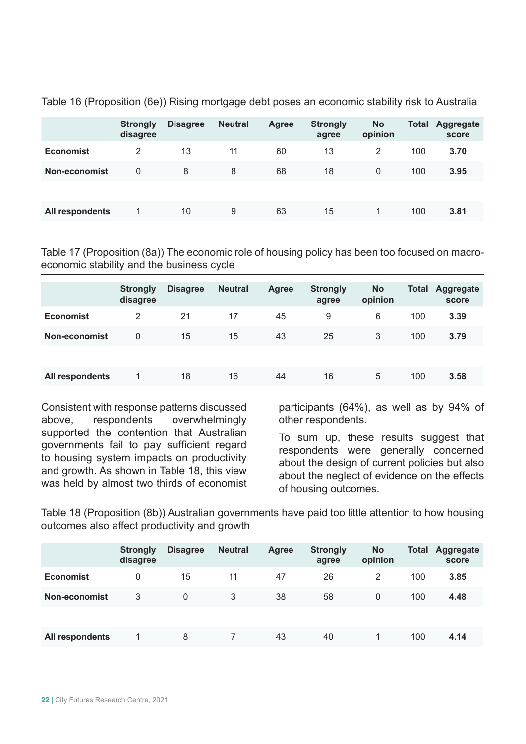|                  | <b>Strongly</b><br>disagree | <b>Disagree</b> | <b>Neutral</b> | <b>Agree</b> | <b>Strongly</b><br>agree | <b>No</b><br>opinion | <b>Total</b> | <b>Aggregate</b><br>score |
|------------------|-----------------------------|-----------------|----------------|--------------|--------------------------|----------------------|--------------|---------------------------|
| <b>Economist</b> | 2                           | 13              | 11             | 60           | 13                       | 2                    | 100          | 3.70                      |
| Non-economist    | 0                           | 8               | 8              | 68           | 18                       | $\mathbf{0}$         | 100          | 3.95                      |
|                  |                             |                 |                |              |                          |                      |              |                           |
| All respondents  |                             | 10              | 9              | 63           | 15                       |                      | 100          | 3.81                      |

Table 16 (Proposition (6e)) Rising mortgage debt poses an economic stability risk to Australia

Table 17 (Proposition (8a)) The economic role of housing policy has been too focused on macroeconomic stability and the business cycle

|                  | <b>Strongly</b><br>disagree | <b>Disagree</b> | <b>Neutral</b> | Agree | <b>Strongly</b><br>agree | <b>No</b><br>opinion | <b>Total</b> | Aggregate<br>score |
|------------------|-----------------------------|-----------------|----------------|-------|--------------------------|----------------------|--------------|--------------------|
| <b>Economist</b> | 2                           | 21              | 17             | 45    | 9                        | 6                    | 100          | 3.39               |
| Non-economist    | 0                           | 15              | 15             | 43    | 25                       | 3                    | 100          | 3.79               |
|                  |                             |                 |                |       |                          |                      |              |                    |
| All respondents  |                             | 18              | 16             | 44    | 16                       | 5                    | 100          | 3.58               |

Consistent with response patterns discussed above, respondents overwhelmingly supported the contention that Australian governments fail to pay sufficient regard to housing system impacts on productivity and growth. As shown in Table 18, this view was held by almost two thirds of economist

participants (64%), as well as by 94% of other respondents.

To sum up, these results suggest that respondents were generally concerned about the design of current policies but also about the neglect of evidence on the effects of housing outcomes.

Table 18 (Proposition (8b)) Australian governments have paid too little attention to how housing outcomes also affect productivity and growth

|                  | <b>Strongly</b><br>disagree | <b>Disagree</b> | <b>Neutral</b> | Agree | <b>Strongly</b><br>agree | <b>No</b><br>opinion | <b>Total</b> | <b>Aggregate</b><br>score |
|------------------|-----------------------------|-----------------|----------------|-------|--------------------------|----------------------|--------------|---------------------------|
| <b>Economist</b> | $\Omega$                    | 15              | 11             | 47    | 26                       | 2                    | 100          | 3.85                      |
| Non-economist    | 3                           | 0               | 3              | 38    | 58                       | $\Omega$             | 100          | 4.48                      |
|                  |                             |                 |                |       |                          |                      |              |                           |
| All respondents  |                             | 8               |                | 43    | 40                       |                      | 100          | 4.14                      |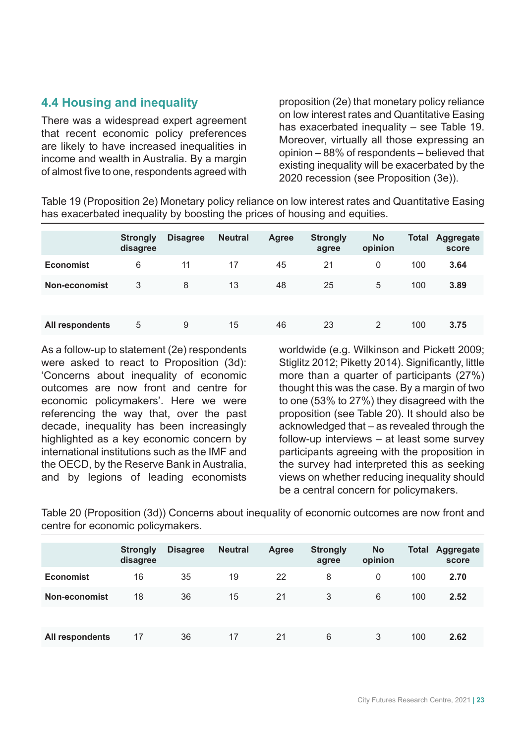# **4.4 Housing and inequality**

There was a widespread expert agreement that recent economic policy preferences are likely to have increased inequalities in income and wealth in Australia. By a margin of almost five to one, respondents agreed with

proposition (2e) that monetary policy reliance on low interest rates and Quantitative Easing has exacerbated inequality – see Table 19. Moreover, virtually all those expressing an opinion – 88% of respondents – believed that existing inequality will be exacerbated by the 2020 recession (see Proposition (3e)).

Table 19 (Proposition 2e) Monetary policy reliance on low interest rates and Quantitative Easing has exacerbated inequality by boosting the prices of housing and equities.

|                  | <b>Strongly</b><br>disagree | <b>Disagree</b> | <b>Neutral</b> | <b>Agree</b> | <b>Strongly</b><br>agree | <b>No</b><br>opinion | <b>Total</b> | <b>Aggregate</b><br>score |
|------------------|-----------------------------|-----------------|----------------|--------------|--------------------------|----------------------|--------------|---------------------------|
| <b>Economist</b> | 6                           | 11              | 17             | 45           | 21                       | 0                    | 100          | 3.64                      |
| Non-economist    | 3                           | 8               | 13             | 48           | 25                       | 5                    | 100          | 3.89                      |
|                  |                             |                 |                |              |                          |                      |              |                           |
| All respondents  | 5                           | 9               | 15             | 46           | 23                       | 2                    | 100          | 3.75                      |

As a follow-up to statement (2e) respondents were asked to react to Proposition (3d): 'Concerns about inequality of economic outcomes are now front and centre for economic policymakers'. Here we were referencing the way that, over the past decade, inequality has been increasingly highlighted as a key economic concern by international institutions such as the IMF and the OECD, by the Reserve Bank in Australia, and by legions of leading economists

worldwide (e.g. Wilkinson and Pickett 2009; Stiglitz 2012; Piketty 2014). Significantly, little more than a quarter of participants (27%) thought this was the case. By a margin of two to one (53% to 27%) they disagreed with the proposition (see Table 20). It should also be acknowledged that – as revealed through the follow-up interviews – at least some survey participants agreeing with the proposition in the survey had interpreted this as seeking views on whether reducing inequality should be a central concern for policymakers.

Table 20 (Proposition (3d)) Concerns about inequality of economic outcomes are now front and centre for economic policymakers.

|                  | <b>Strongly</b><br>disagree | <b>Disagree</b> | <b>Neutral</b> | Agree | <b>Strongly</b><br>agree | <b>No</b><br>opinion | <b>Total</b> | Aggregate<br>score |
|------------------|-----------------------------|-----------------|----------------|-------|--------------------------|----------------------|--------------|--------------------|
| <b>Economist</b> | 16                          | 35              | 19             | 22    | 8                        | $\mathbf{0}$         | 100          | 2.70               |
| Non-economist    | 18                          | 36              | 15             | 21    | 3                        | 6                    | 100          | 2.52               |
|                  |                             |                 |                |       |                          |                      |              |                    |
| All respondents  | 17                          | 36              | 17             | 21    | 6                        | 3                    | 100          | 2.62               |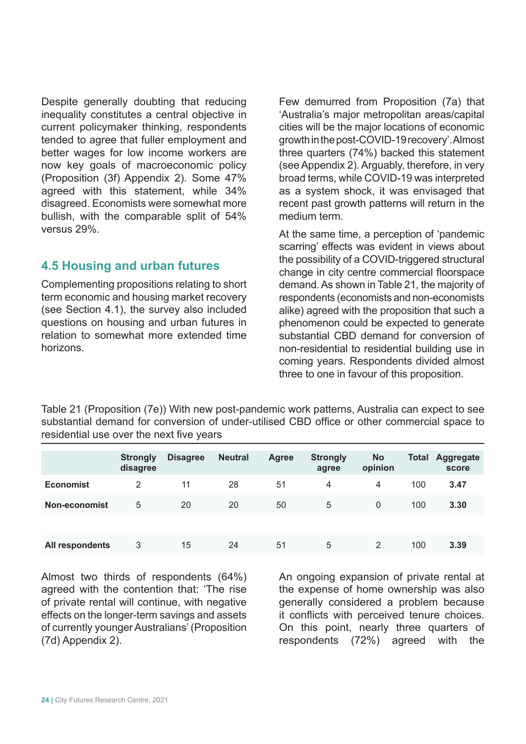Despite generally doubting that reducing inequality constitutes a central objective in current policymaker thinking, respondents tended to agree that fuller employment and better wages for low income workers are now key goals of macroeconomic policy (Proposition (3f) Appendix 2). Some 47% agreed with this statement, while 34% disagreed. Economists were somewhat more bullish, with the comparable split of 54% versus 29%.

### **4.5 Housing and urban futures**

Complementing propositions relating to short term economic and housing market recovery (see Section 4.1), the survey also included questions on housing and urban futures in relation to somewhat more extended time horizons.

Few demurred from Proposition (7a) that 'Australia's major metropolitan areas/capital cities will be the major locations of economic growth in the post-COVID-19 recovery'. Almost three quarters (74%) backed this statement (see Appendix 2). Arguably, therefore, in very broad terms, while COVID-19 was interpreted as a system shock, it was envisaged that recent past growth patterns will return in the medium term.

At the same time, a perception of 'pandemic scarring' effects was evident in views about the possibility of a COVID-triggered structural change in city centre commercial floorspace demand. As shown in Table 21, the majority of respondents (economists and non-economists alike) agreed with the proposition that such a phenomenon could be expected to generate substantial CBD demand for conversion of non-residential to residential building use in coming years. Respondents divided almost three to one in favour of this proposition.

Table 21 (Proposition (7e)) With new post-pandemic work patterns, Australia can expect to see substantial demand for conversion of under-utilised CBD office or other commercial space to residential use over the next five years

|                  | <b>Strongly</b><br>disagree | <b>Disagree</b> | <b>Neutral</b> | <b>Agree</b> | <b>Strongly</b><br>agree | <b>No</b><br>opinion | <b>Total</b> | <b>Aggregate</b><br>score |
|------------------|-----------------------------|-----------------|----------------|--------------|--------------------------|----------------------|--------------|---------------------------|
| <b>Economist</b> | 2                           | 11              | 28             | 51           | 4                        | 4                    | 100          | 3.47                      |
| Non-economist    | 5                           | 20              | 20             | 50           | 5                        | $\mathbf{0}$         | 100          | 3.30                      |
|                  |                             |                 |                |              |                          |                      |              |                           |
| All respondents  | 3                           | 15              | 24             | 51           | 5                        | 2                    | 100          | 3.39                      |

Almost two thirds of respondents (64%) agreed with the contention that: 'The rise of private rental will continue, with negative effects on the longer-term savings and assets of currently younger Australians' (Proposition (7d) Appendix 2).

An ongoing expansion of private rental at the expense of home ownership was also generally considered a problem because it conflicts with perceived tenure choices. On this point, nearly three quarters of respondents (72%) agreed with the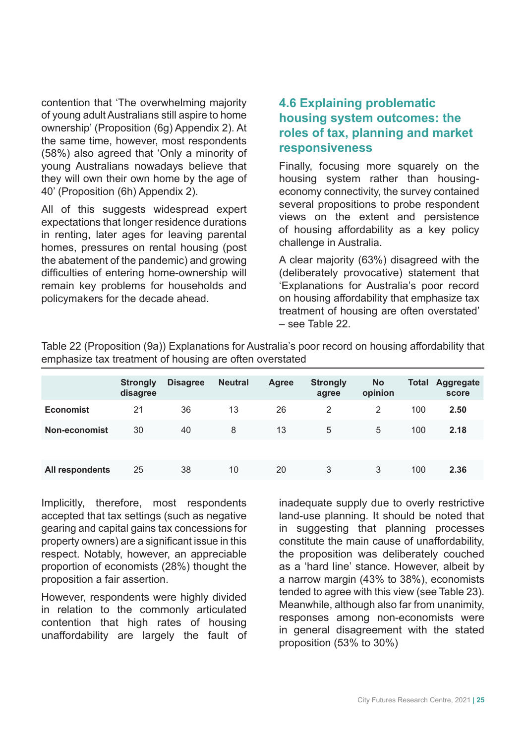contention that 'The overwhelming majority of young adult Australians still aspire to home ownership' (Proposition (6g) Appendix 2). At the same time, however, most respondents (58%) also agreed that 'Only a minority of young Australians nowadays believe that they will own their own home by the age of 40' (Proposition (6h) Appendix 2).

All of this suggests widespread expert expectations that longer residence durations in renting, later ages for leaving parental homes, pressures on rental housing (post the abatement of the pandemic) and growing difficulties of entering home-ownership will remain key problems for households and policymakers for the decade ahead.

### **4.6 Explaining problematic housing system outcomes: the roles of tax, planning and market responsiveness**

Finally, focusing more squarely on the housing system rather than housingeconomy connectivity, the survey contained several propositions to probe respondent views on the extent and persistence of housing affordability as a key policy challenge in Australia.

A clear majority (63%) disagreed with the (deliberately provocative) statement that 'Explanations for Australia's poor record on housing affordability that emphasize tax treatment of housing are often overstated' – see Table 22.

|                  | <b>Strongly</b><br>disagree | <b>Disagree</b> | <b>Neutral</b> | <b>Agree</b> | <b>Strongly</b><br>agree | <b>No</b><br>opinion | <b>Total</b> | Aggregate<br>score |
|------------------|-----------------------------|-----------------|----------------|--------------|--------------------------|----------------------|--------------|--------------------|
| <b>Economist</b> | 21                          | 36              | 13             | 26           | 2                        | 2                    | 100          | 2.50               |
| Non-economist    | 30                          | 40              | 8              | 13           | 5                        | 5                    | 100          | 2.18               |
|                  |                             |                 |                |              |                          |                      |              |                    |
| All respondents  | 25                          | 38              | 10             | 20           | 3                        | 3                    | 100          | 2.36               |

Table 22 (Proposition (9a)) Explanations for Australia's poor record on housing affordability that emphasize tax treatment of housing are often overstated

Implicitly, therefore, most respondents accepted that tax settings (such as negative gearing and capital gains tax concessions for property owners) are a significant issue in this respect. Notably, however, an appreciable proportion of economists (28%) thought the proposition a fair assertion.

However, respondents were highly divided in relation to the commonly articulated contention that high rates of housing unaffordability are largely the fault of inadequate supply due to overly restrictive land-use planning. It should be noted that in suggesting that planning processes constitute the main cause of unaffordability, the proposition was deliberately couched as a 'hard line' stance. However, albeit by a narrow margin (43% to 38%), economists tended to agree with this view (see Table 23). Meanwhile, although also far from unanimity, responses among non-economists were in general disagreement with the stated proposition (53% to 30%)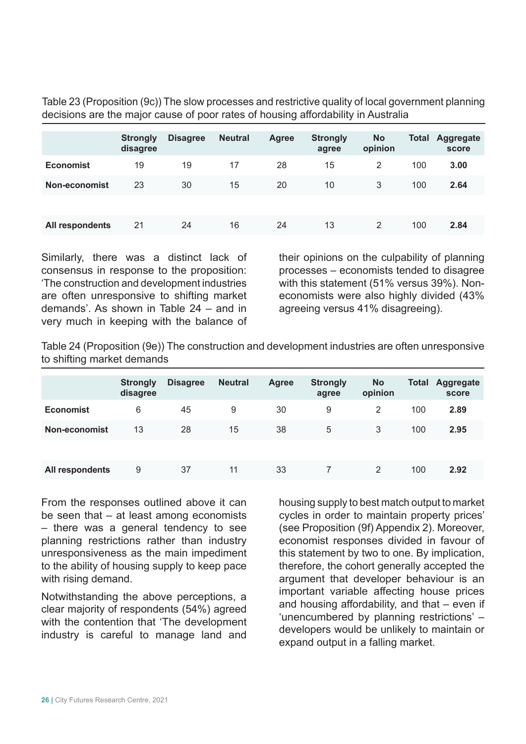Table 23 (Proposition (9c)) The slow processes and restrictive quality of local government planning decisions are the major cause of poor rates of housing affordability in Australia

|                  | <b>Strongly</b><br>disagree | <b>Disagree</b> | <b>Neutral</b> | Agree | <b>Strongly</b><br>agree | <b>No</b><br>opinion | Total | <b>Aggregate</b><br>score |
|------------------|-----------------------------|-----------------|----------------|-------|--------------------------|----------------------|-------|---------------------------|
| <b>Economist</b> | 19                          | 19              | 17             | 28    | 15                       | 2                    | 100   | 3.00                      |
| Non-economist    | 23                          | 30              | 15             | 20    | 10                       | 3                    | 100   | 2.64                      |
|                  |                             |                 |                |       |                          |                      |       |                           |
| All respondents  | 21                          | 24              | 16             | 24    | 13                       | 2                    | 100   | 2.84                      |

Similarly, there was a distinct lack of consensus in response to the proposition: 'The construction and development industries are often unresponsive to shifting market demands'. As shown in Table 24 – and in very much in keeping with the balance of their opinions on the culpability of planning processes – economists tended to disagree with this statement (51% versus 39%). Noneconomists were also highly divided (43% agreeing versus 41% disagreeing).

Table 24 (Proposition (9e)) The construction and development industries are often unresponsive to shifting market demands

|                  | <b>Strongly</b><br>disagree | <b>Disagree</b> | <b>Neutral</b> | <b>Agree</b> | <b>Strongly</b><br>agree | <b>No</b><br>opinion | <b>Total</b> | Aggregate<br>score |
|------------------|-----------------------------|-----------------|----------------|--------------|--------------------------|----------------------|--------------|--------------------|
| <b>Economist</b> | 6                           | 45              | 9              | 30           | 9                        | 2                    | 100          | 2.89               |
| Non-economist    | 13                          | 28              | 15             | 38           | 5                        | 3                    | 100          | 2.95               |
|                  |                             |                 |                |              |                          |                      |              |                    |
| All respondents  | 9                           | 37              | 11             | 33           |                          | 2                    | 100          | 2.92               |

From the responses outlined above it can be seen that – at least among economists – there was a general tendency to see planning restrictions rather than industry unresponsiveness as the main impediment to the ability of housing supply to keep pace with rising demand.

Notwithstanding the above perceptions, a clear majority of respondents (54%) agreed with the contention that 'The development industry is careful to manage land and

housing supply to best match output to market cycles in order to maintain property prices' (see Proposition (9f) Appendix 2). Moreover, economist responses divided in favour of this statement by two to one. By implication, therefore, the cohort generally accepted the argument that developer behaviour is an important variable affecting house prices and housing affordability, and that – even if 'unencumbered by planning restrictions' – developers would be unlikely to maintain or expand output in a falling market.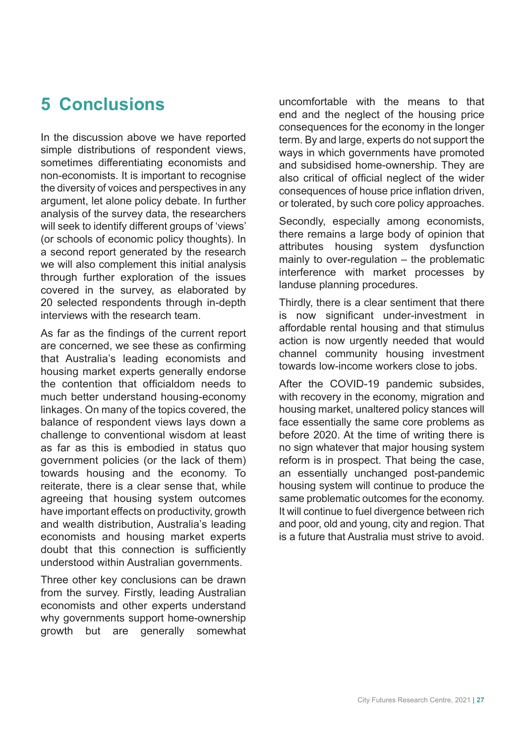# **5 Conclusions**

In the discussion above we have reported simple distributions of respondent views, sometimes differentiating economists and non-economists. It is important to recognise the diversity of voices and perspectives in any argument, let alone policy debate. In further analysis of the survey data, the researchers will seek to identify different groups of 'views' (or schools of economic policy thoughts). In a second report generated by the research we will also complement this initial analysis through further exploration of the issues covered in the survey, as elaborated by 20 selected respondents through in-depth interviews with the research team.

As far as the findings of the current report are concerned, we see these as confirming that Australia's leading economists and housing market experts generally endorse the contention that officialdom needs to much better understand housing-economy linkages. On many of the topics covered, the balance of respondent views lays down a challenge to conventional wisdom at least as far as this is embodied in status quo government policies (or the lack of them) towards housing and the economy. To reiterate, there is a clear sense that, while agreeing that housing system outcomes have important effects on productivity, growth and wealth distribution, Australia's leading economists and housing market experts doubt that this connection is sufficiently understood within Australian governments.

Three other key conclusions can be drawn from the survey. Firstly, leading Australian economists and other experts understand why governments support home-ownership growth but are generally somewhat uncomfortable with the means to that end and the neglect of the housing price consequences for the economy in the longer term. By and large, experts do not support the ways in which governments have promoted and subsidised home-ownership. They are also critical of official neglect of the wider consequences of house price inflation driven, or tolerated, by such core policy approaches.

Secondly, especially among economists, there remains a large body of opinion that attributes housing system dysfunction mainly to over-regulation – the problematic interference with market processes by landuse planning procedures.

Thirdly, there is a clear sentiment that there is now significant under-investment in affordable rental housing and that stimulus action is now urgently needed that would channel community housing investment towards low-income workers close to jobs.

After the COVID-19 pandemic subsides, with recovery in the economy, migration and housing market, unaltered policy stances will face essentially the same core problems as before 2020. At the time of writing there is no sign whatever that major housing system reform is in prospect. That being the case, an essentially unchanged post-pandemic housing system will continue to produce the same problematic outcomes for the economy. It will continue to fuel divergence between rich and poor, old and young, city and region. That is a future that Australia must strive to avoid.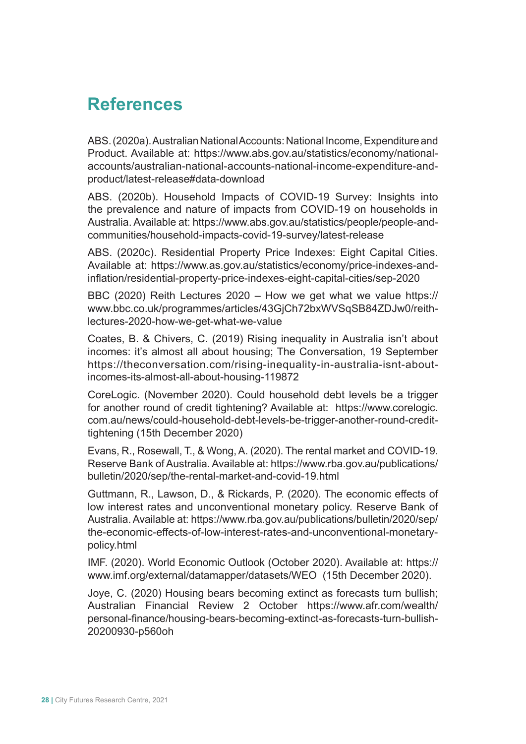# **References**

ABS. (2020a). Australian National Accounts: National Income, Expenditure and Product. Available at: https://www.abs.gov.au/statistics/economy/nationalaccounts/australian-national-accounts-national-income-expenditure-andproduct/latest-release#data-download

ABS. (2020b). Household Impacts of COVID-19 Survey: Insights into the prevalence and nature of impacts from COVID-19 on households in Australia. Available at: https://www.abs.gov.au/statistics/people/people-andcommunities/household-impacts-covid-19-survey/latest-release

ABS. (2020c). Residential Property Price Indexes: Eight Capital Cities. Available at: https://www.as.gov.au/statistics/economy/price-indexes-andinflation/residential-property-price-indexes-eight-capital-cities/sep-2020

BBC (2020) Reith Lectures 2020 – How we get what we value https:// www.bbc.co.uk/programmes/articles/43GjCh72bxWVSqSB84ZDJw0/reithlectures-2020-how-we-get-what-we-value

Coates, B. & Chivers, C. (2019) Rising inequality in Australia isn't about incomes: it's almost all about housing; The Conversation, 19 September https://theconversation.com/rising-inequality-in-australia-isnt-aboutincomes-its-almost-all-about-housing-119872

CoreLogic. (November 2020). Could household debt levels be a trigger for another round of credit tightening? Available at: https://www.corelogic. com.au/news/could-household-debt-levels-be-trigger-another-round-credittightening (15th December 2020)

Evans, R., Rosewall, T., & Wong, A. (2020). The rental market and COVID-19. Reserve Bank of Australia. Available at: https://www.rba.gov.au/publications/ bulletin/2020/sep/the-rental-market-and-covid-19.html

Guttmann, R., Lawson, D., & Rickards, P. (2020). The economic effects of low interest rates and unconventional monetary policy. Reserve Bank of Australia. Available at: https://www.rba.gov.au/publications/bulletin/2020/sep/ the-economic-effects-of-low-interest-rates-and-unconventional-monetarypolicy.html

IMF. (2020). World Economic Outlook (October 2020). Available at: https:// www.imf.org/external/datamapper/datasets/WEO (15th December 2020).

Joye, C. (2020) Housing bears becoming extinct as forecasts turn bullish; Australian Financial Review 2 October https://www.afr.com/wealth/ personal-finance/housing-bears-becoming-extinct-as-forecasts-turn-bullish-20200930-p560oh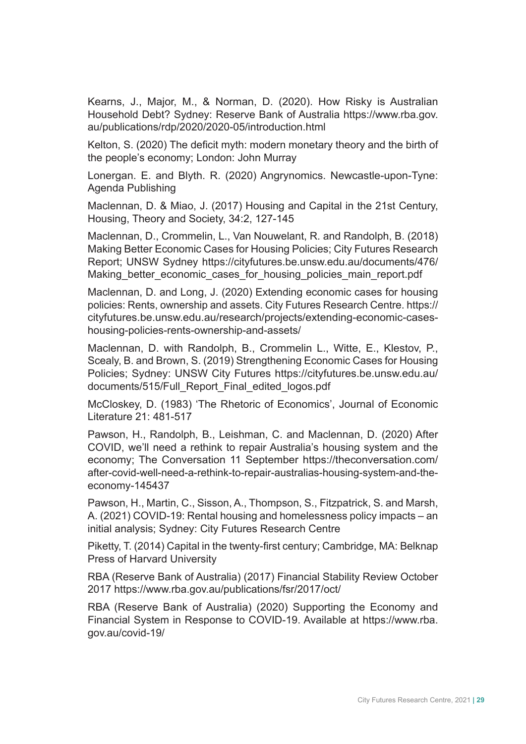Kearns, J., Major, M., & Norman, D. (2020). How Risky is Australian Household Debt? Sydney: Reserve Bank of Australia https://www.rba.gov. au/publications/rdp/2020/2020-05/introduction.html

Kelton, S. (2020) The deficit myth: modern monetary theory and the birth of the people's economy; London: John Murray

Lonergan. E. and Blyth. R. (2020) Angrynomics. Newcastle-upon-Tyne: Agenda Publishing

Maclennan, D. & Miao, J. (2017) Housing and Capital in the 21st Century, Housing, Theory and Society, 34:2, 127-145

Maclennan, D., Crommelin, L., Van Nouwelant, R. and Randolph, B. (2018) Making Better Economic Cases for Housing Policies; City Futures Research Report; UNSW Sydney https://cityfutures.be.unsw.edu.au/documents/476/ Making better economic cases for housing policies main report.pdf

Maclennan, D. and Long, J. (2020) Extending economic cases for housing policies: Rents, ownership and assets. City Futures Research Centre. https:// cityfutures.be.unsw.edu.au/research/projects/extending-economic-caseshousing-policies-rents-ownership-and-assets/

Maclennan, D. with Randolph, B., Crommelin L., Witte, E., Klestov, P., Scealy, B. and Brown, S. (2019) Strengthening Economic Cases for Housing Policies; Sydney: UNSW City Futures https://cityfutures.be.unsw.edu.au/ documents/515/Full\_Report\_Final\_edited\_logos.pdf

McCloskey, D. (1983) 'The Rhetoric of Economics', Journal of Economic Literature 21: 481-517

Pawson, H., Randolph, B., Leishman, C. and Maclennan, D. (2020) After COVID, we'll need a rethink to repair Australia's housing system and the economy; The Conversation 11 September https://theconversation.com/ after-covid-well-need-a-rethink-to-repair-australias-housing-system-and-theeconomy-145437

Pawson, H., Martin, C., Sisson, A., Thompson, S., Fitzpatrick, S. and Marsh, A. (2021) COVID-19: Rental housing and homelessness policy impacts – an initial analysis; Sydney: City Futures Research Centre

Piketty, T. (2014) Capital in the twenty-first century; Cambridge, MA: Belknap Press of Harvard University

RBA (Reserve Bank of Australia) (2017) Financial Stability Review October 2017 https://www.rba.gov.au/publications/fsr/2017/oct/

RBA (Reserve Bank of Australia) (2020) Supporting the Economy and Financial System in Response to COVID-19. Available at https://www.rba. gov.au/covid-19/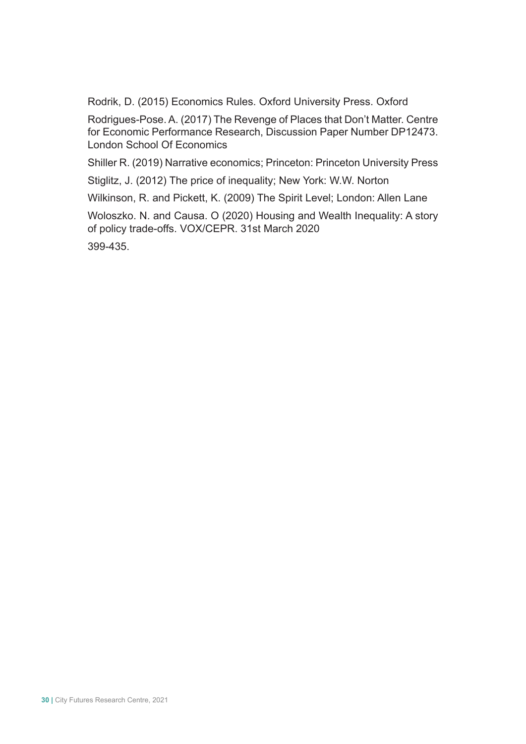Rodrik, D. (2015) Economics Rules. Oxford University Press. Oxford

Rodrigues-Pose. A. (2017) The Revenge of Places that Don't Matter. Centre for Economic Performance Research, Discussion Paper Number DP12473. London School Of Economics

Shiller R. (2019) Narrative economics; Princeton: Princeton University Press

Stiglitz, J. (2012) The price of inequality; New York: W.W. Norton

Wilkinson, R. and Pickett, K. (2009) The Spirit Level; London: Allen Lane

Woloszko. N. and Causa. O (2020) Housing and Wealth Inequality: A story of policy trade-offs. VOX/CEPR. 31st March 2020

399-435.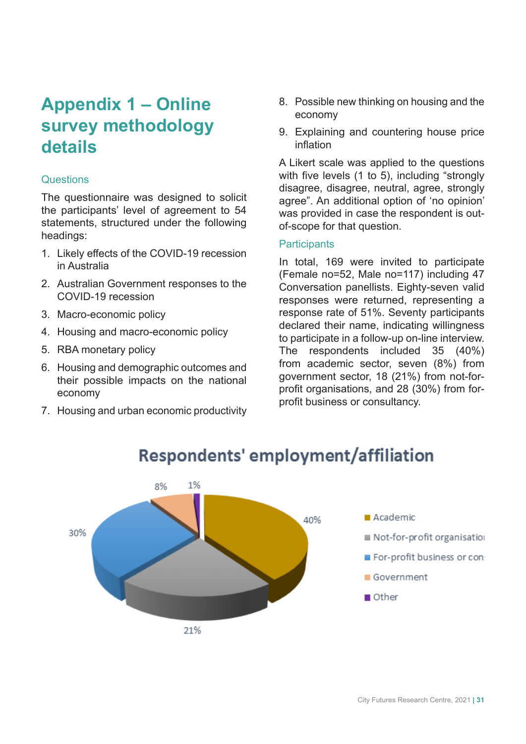# **Appendix 1 – Online survey methodology details**

#### **Questions**

The questionnaire was designed to solicit the participants' level of agreement to 54 statements, structured under the following headings:

- 1. Likely effects of the COVID-19 recession in Australia
- 2. Australian Government responses to the COVID-19 recession
- 3. Macro-economic policy
- 4. Housing and macro-economic policy
- 5. RBA monetary policy
- 6. Housing and demographic outcomes and their possible impacts on the national economy
- 7. Housing and urban economic productivity
- 8. Possible new thinking on housing and the economy
- 9. Explaining and countering house price inflation

A Likert scale was applied to the questions with five levels (1 to 5), including "strongly disagree, disagree, neutral, agree, strongly agree". An additional option of 'no opinion' was provided in case the respondent is outof-scope for that question.

#### **Participants**

In total, 169 were invited to participate (Female no=52, Male no=117) including 47 Conversation panellists. Eighty-seven valid responses were returned, representing a response rate of 51%. Seventy participants declared their name, indicating willingness to participate in a follow-up on-line interview. The respondents included 35 (40%) from academic sector, seven (8%) from government sector, 18 (21%) from not-forprofit organisations, and 28 (30%) from forprofit business or consultancy.



# **Respondents' employment/affiliation**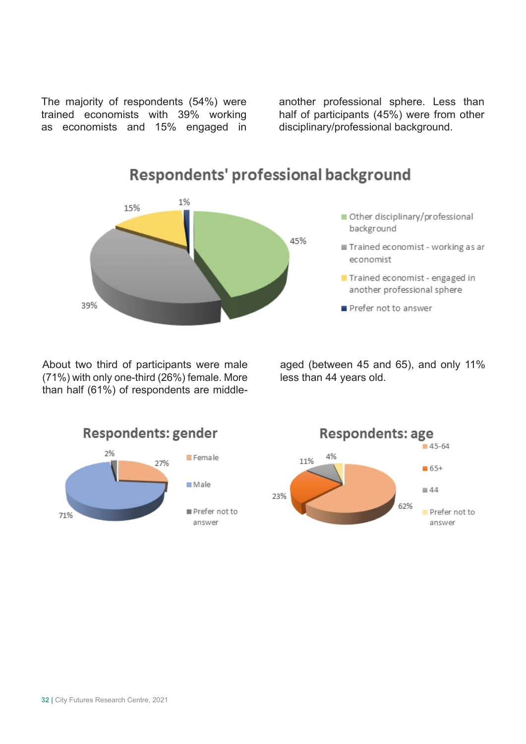The majority of respondents (54%) were trained economists with 39% working as economists and 15% engaged in

another professional sphere. Less than half of participants (45%) were from other disciplinary/professional background.



Respondents' professional background

About two third of participants were male (71%) with only one-third (26%) female. More than half (61%) of respondents are middleaged (between 45 and 65), and only 11% less than 44 years old.



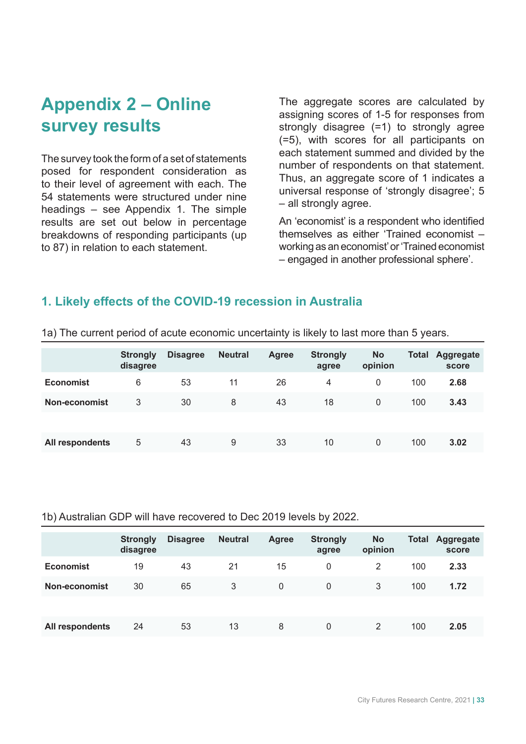# **Appendix 2 – Online survey results**

The survey took the form of a set of statements posed for respondent consideration as to their level of agreement with each. The 54 statements were structured under nine headings – see Appendix 1. The simple results are set out below in percentage breakdowns of responding participants (up to 87) in relation to each statement.

The aggregate scores are calculated by assigning scores of 1-5 for responses from strongly disagree (=1) to strongly agree (=5), with scores for all participants on each statement summed and divided by the number of respondents on that statement. Thus, an aggregate score of 1 indicates a universal response of 'strongly disagree'; 5 – all strongly agree.

An 'economist' is a respondent who identified themselves as either 'Trained economist – working as an economist' or 'Trained economist – engaged in another professional sphere'.

#### **1. Likely effects of the COVID-19 recession in Australia**

|                  | <b>Strongly</b><br>disagree | <b>Disagree</b> | <b>Neutral</b> | <b>Agree</b> | <b>Strongly</b><br>agree | <b>No</b><br>opinion | <b>Total</b> | <b>Aggregate</b><br>score |
|------------------|-----------------------------|-----------------|----------------|--------------|--------------------------|----------------------|--------------|---------------------------|
| <b>Economist</b> | 6                           | 53              | 11             | 26           | 4                        | 0                    | 100          | 2.68                      |
| Non-economist    | 3                           | 30              | 8              | 43           | 18                       | $\Omega$             | 100          | 3.43                      |
|                  |                             |                 |                |              |                          |                      |              |                           |
| All respondents  | 5                           | 43              | 9              | 33           | 10                       | $\Omega$             | 100          | 3.02                      |

1a) The current period of acute economic uncertainty is likely to last more than 5 years.

#### 1b) Australian GDP will have recovered to Dec 2019 levels by 2022.

|                  | <b>Strongly</b><br>disagree | <b>Disagree</b> | <b>Neutral</b> | <b>Agree</b> | <b>Strongly</b><br>agree | <b>No</b><br>opinion | <b>Total</b> | <b>Aggregate</b><br>score |
|------------------|-----------------------------|-----------------|----------------|--------------|--------------------------|----------------------|--------------|---------------------------|
| <b>Economist</b> | 19                          | 43              | 21             | 15           | 0                        | 2                    | 100          | 2.33                      |
| Non-economist    | 30                          | 65              | 3              | 0            | 0                        | 3                    | 100          | 1.72                      |
|                  |                             |                 |                |              |                          |                      |              |                           |
| All respondents  | 24                          | 53              | 13             | 8            | 0                        | 2                    | 100          | 2.05                      |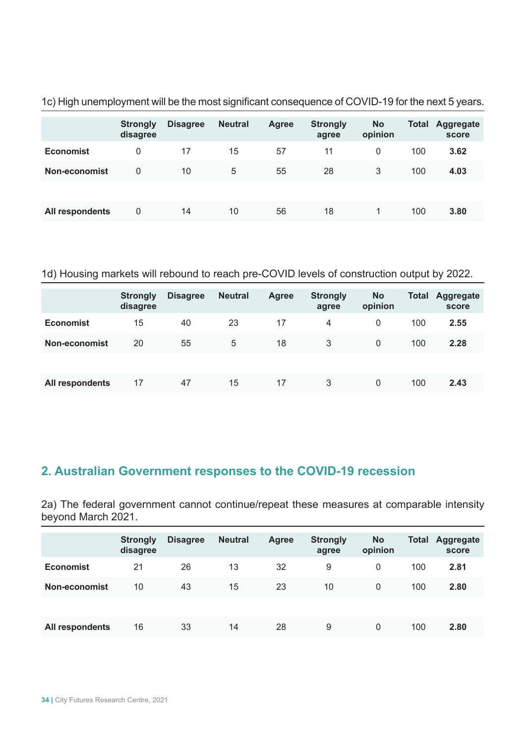|                  | <b>Strongly</b><br>disagree | <b>Disagree</b> | <b>Neutral</b> | <b>Agree</b> | <b>Strongly</b><br>agree | <b>No</b><br>opinion | <b>Total</b> | <b>Aggregate</b><br>score |
|------------------|-----------------------------|-----------------|----------------|--------------|--------------------------|----------------------|--------------|---------------------------|
| <b>Economist</b> | 0                           | 17              | 15             | 57           | 11                       | $\mathbf{0}$         | 100          | 3.62                      |
| Non-economist    | 0                           | 10              | 5              | 55           | 28                       | 3                    | 100          | 4.03                      |
|                  |                             |                 |                |              |                          |                      |              |                           |
| All respondents  | 0                           | 14              | 10             | 56           | 18                       |                      | 100          | 3.80                      |

1c) High unemployment will be the most significant consequence of COVID-19 for the next 5 years.

#### 1d) Housing markets will rebound to reach pre-COVID levels of construction output by 2022.

|                  | <b>Strongly</b><br>disagree | <b>Disagree</b> | <b>Neutral</b> | <b>Agree</b> | <b>Strongly</b><br>agree | <b>No</b><br>opinion | <b>Total</b> | <b>Aggregate</b><br>score |
|------------------|-----------------------------|-----------------|----------------|--------------|--------------------------|----------------------|--------------|---------------------------|
| <b>Economist</b> | 15                          | 40              | 23             | 17           | 4                        | 0                    | 100          | 2.55                      |
| Non-economist    | 20                          | 55              | 5              | 18           | 3                        | $\Omega$             | 100          | 2.28                      |
|                  |                             |                 |                |              |                          |                      |              |                           |
| All respondents  | 17                          | 47              | 15             | 17           | 3                        | 0                    | 100          | 2.43                      |

# **2. Australian Government responses to the COVID-19 recession**

2a) The federal government cannot continue/repeat these measures at comparable intensity beyond March 2021.

|                      | <b>Strongly</b><br>disagree | <b>Disagree</b> | <b>Neutral</b> | <b>Agree</b> | <b>Strongly</b><br>agree | <b>No</b><br>opinion | <b>Total</b> | Aggregate<br>score |
|----------------------|-----------------------------|-----------------|----------------|--------------|--------------------------|----------------------|--------------|--------------------|
| <b>Economist</b>     | 21                          | 26              | 13             | 32           | 9                        | $\mathbf{0}$         | 100          | 2.81               |
| <b>Non-economist</b> | 10                          | 43              | 15             | 23           | 10                       | $\mathbf{0}$         | 100          | 2.80               |
|                      |                             |                 |                |              |                          |                      |              |                    |
| All respondents      | 16                          | 33              | 14             | 28           | 9                        | $\Omega$             | 100          | 2.80               |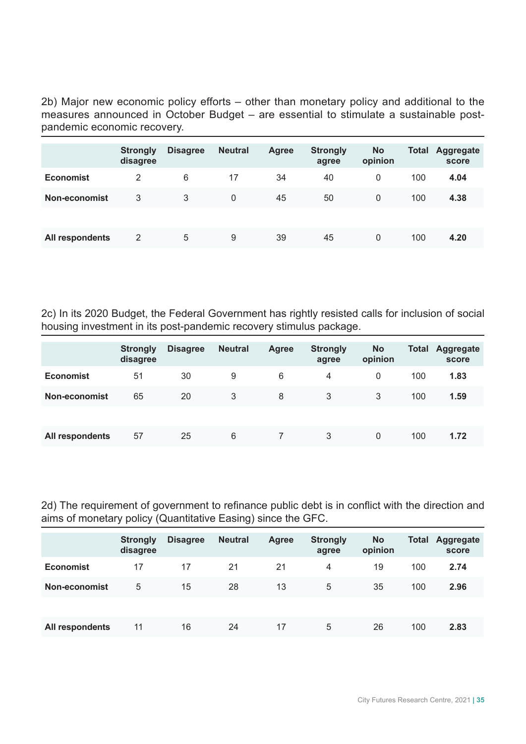2b) Major new economic policy efforts – other than monetary policy and additional to the measures announced in October Budget – are essential to stimulate a sustainable postpandemic economic recovery.

|                  | <b>Strongly</b><br>disagree | <b>Disagree</b> | <b>Neutral</b> | <b>Agree</b> | <b>Strongly</b><br>agree | <b>No</b><br>opinion | <b>Total</b> | <b>Aggregate</b><br>score |
|------------------|-----------------------------|-----------------|----------------|--------------|--------------------------|----------------------|--------------|---------------------------|
| <b>Economist</b> | 2                           | 6               | 17             | 34           | 40                       | 0                    | 100          | 4.04                      |
| Non-economist    | 3                           | 3               | 0              | 45           | 50                       | $\mathbf{0}$         | 100          | 4.38                      |
|                  |                             |                 |                |              |                          |                      |              |                           |
| All respondents  | 2                           | 5               | 9              | 39           | 45                       | $\Omega$             | 100          | 4.20                      |

2c) In its 2020 Budget, the Federal Government has rightly resisted calls for inclusion of social housing investment in its post-pandemic recovery stimulus package.

|                  | <b>Strongly</b><br>disagree | <b>Disagree</b> | <b>Neutral</b> | <b>Agree</b> | <b>Strongly</b><br>agree | <b>No</b><br>opinion | Total | Aggregate<br>score |
|------------------|-----------------------------|-----------------|----------------|--------------|--------------------------|----------------------|-------|--------------------|
| <b>Economist</b> | 51                          | 30              | 9              | 6            | 4                        | 0                    | 100   | 1.83               |
| Non-economist    | 65                          | 20              | 3              | 8            | 3                        | 3                    | 100   | 1.59               |
|                  |                             |                 |                |              |                          |                      |       |                    |
| All respondents  | 57                          | 25              | 6              |              | 3                        | 0                    | 100   | 1.72               |

2d) The requirement of government to refinance public debt is in conflict with the direction and aims of monetary policy (Quantitative Easing) since the GFC.

|                  | <b>Strongly</b><br>disagree | <b>Disagree</b> | <b>Neutral</b> | <b>Agree</b> | <b>Strongly</b><br>agree | <b>No</b><br>opinion | <b>Total</b> | Aggregate<br>score |
|------------------|-----------------------------|-----------------|----------------|--------------|--------------------------|----------------------|--------------|--------------------|
| <b>Economist</b> | 17                          | 17              | 21             | 21           | $\overline{4}$           | 19                   | 100          | 2.74               |
| Non-economist    | 5                           | 15              | 28             | 13           | 5                        | 35                   | 100          | 2.96               |
|                  |                             |                 |                |              |                          |                      |              |                    |
| All respondents  | 11                          | 16              | 24             | 17           | 5                        | 26                   | 100          | 2.83               |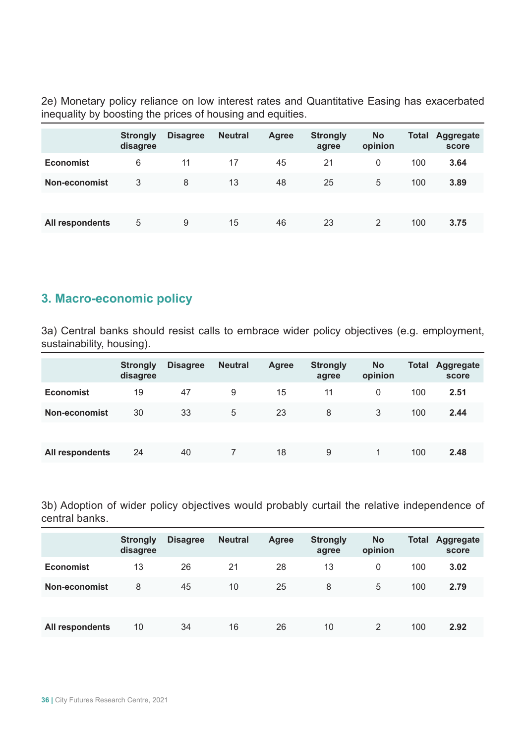2e) Monetary policy reliance on low interest rates and Quantitative Easing has exacerbated inequality by boosting the prices of housing and equities.

|                  | <b>Strongly</b><br>disagree | <b>Disagree</b> | <b>Neutral</b> | <b>Agree</b> | <b>Strongly</b><br>agree | <b>No</b><br>opinion | <b>Total</b> | Aggregate<br>score |
|------------------|-----------------------------|-----------------|----------------|--------------|--------------------------|----------------------|--------------|--------------------|
| <b>Economist</b> | 6                           | 11              | 17             | 45           | 21                       | 0                    | 100          | 3.64               |
| Non-economist    | 3                           | 8               | 13             | 48           | 25                       | 5                    | 100          | 3.89               |
|                  |                             |                 |                |              |                          |                      |              |                    |
| All respondents  | 5                           | 9               | 15             | 46           | 23                       | 2                    | 100          | 3.75               |

### **3. Macro-economic policy**

3a) Central banks should resist calls to embrace wider policy objectives (e.g. employment, sustainability, housing).

|                  | <b>Strongly</b><br>disagree | <b>Disagree</b> | <b>Neutral</b> | <b>Agree</b> | <b>Strongly</b><br>agree | <b>No</b><br>opinion | <b>Total</b> | Aggregate<br>score |
|------------------|-----------------------------|-----------------|----------------|--------------|--------------------------|----------------------|--------------|--------------------|
| <b>Economist</b> | 19                          | 47              | 9              | 15           | 11                       | 0                    | 100          | 2.51               |
| Non-economist    | 30                          | 33              | 5              | 23           | 8                        | 3                    | 100          | 2.44               |
|                  |                             |                 |                |              |                          |                      |              |                    |
| All respondents  | 24                          | 40              |                | 18           | 9                        |                      | 100          | 2.48               |

3b) Adoption of wider policy objectives would probably curtail the relative independence of central banks.

|                  | <b>Strongly</b><br>disagree | <b>Disagree</b> | <b>Neutral</b> | <b>Agree</b> | <b>Strongly</b><br>agree | <b>No</b><br>opinion | <b>Total</b> | Aggregate<br>score |
|------------------|-----------------------------|-----------------|----------------|--------------|--------------------------|----------------------|--------------|--------------------|
| <b>Economist</b> | 13                          | 26              | 21             | 28           | 13                       | 0                    | 100          | 3.02               |
| Non-economist    | 8                           | 45              | 10             | 25           | 8                        | 5                    | 100          | 2.79               |
|                  |                             |                 |                |              |                          |                      |              |                    |
| All respondents  | 10                          | 34              | 16             | 26           | 10                       | 2                    | 100          | 2.92               |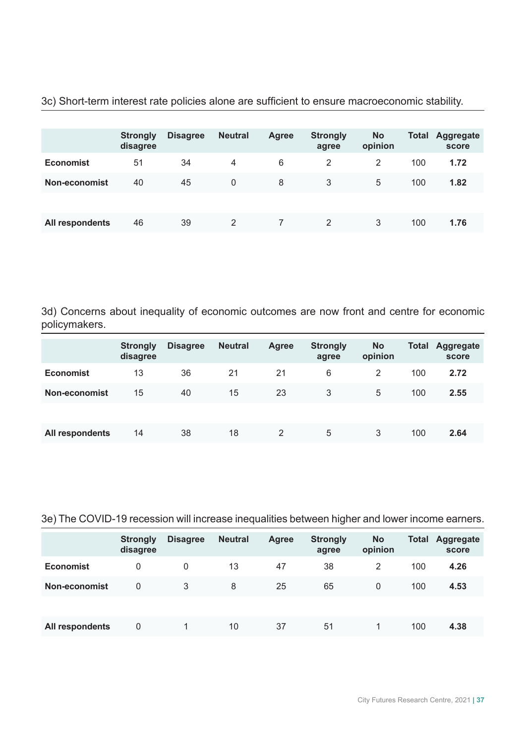|                  | <b>Strongly</b><br>disagree | <b>Disagree</b> | <b>Neutral</b> | <b>Agree</b> | <b>Strongly</b><br>agree | <b>No</b><br>opinion | <b>Total</b> | <b>Aggregate</b><br>score |
|------------------|-----------------------------|-----------------|----------------|--------------|--------------------------|----------------------|--------------|---------------------------|
| <b>Economist</b> | 51                          | 34              | 4              | 6            | 2                        | 2                    | 100          | 1.72                      |
| Non-economist    | 40                          | 45              | 0              | 8            | 3                        | 5                    | 100          | 1.82                      |
|                  |                             |                 |                |              |                          |                      |              |                           |
| All respondents  | 46                          | 39              | 2              |              | 2                        | 3                    | 100          | 1.76                      |

3c) Short-term interest rate policies alone are sufficient to ensure macroeconomic stability.

3d) Concerns about inequality of economic outcomes are now front and centre for economic policymakers.

|                  | <b>Strongly</b><br>disagree | <b>Disagree</b> | <b>Neutral</b> | <b>Agree</b> | <b>Strongly</b><br>agree | <b>No</b><br>opinion | <b>Total</b> | <b>Aggregate</b><br>score |
|------------------|-----------------------------|-----------------|----------------|--------------|--------------------------|----------------------|--------------|---------------------------|
| <b>Economist</b> | 13                          | 36              | 21             | 21           | 6                        | 2                    | 100          | 2.72                      |
| Non-economist    | 15                          | 40              | 15             | 23           | 3                        | 5                    | 100          | 2.55                      |
|                  |                             |                 |                |              |                          |                      |              |                           |
| All respondents  | 14                          | 38              | 18             | 2            | 5                        | 3                    | 100          | 2.64                      |

3e) The COVID-19 recession will increase inequalities between higher and lower income earners.

|                  | <b>Strongly</b><br>disagree | <b>Disagree</b> | <b>Neutral</b> | <b>Agree</b> | <b>Strongly</b><br>agree | <b>No</b><br>opinion | <b>Total</b> | Aggregate<br>score |
|------------------|-----------------------------|-----------------|----------------|--------------|--------------------------|----------------------|--------------|--------------------|
| <b>Economist</b> | 0                           | 0               | 13             | 47           | 38                       | 2                    | 100          | 4.26               |
| Non-economist    | 0                           | 3               | 8              | 25           | 65                       | $\Omega$             | 100          | 4.53               |
|                  |                             |                 |                |              |                          |                      |              |                    |
| All respondents  | 0                           |                 | 10             | 37           | 51                       |                      | 100          | 4.38               |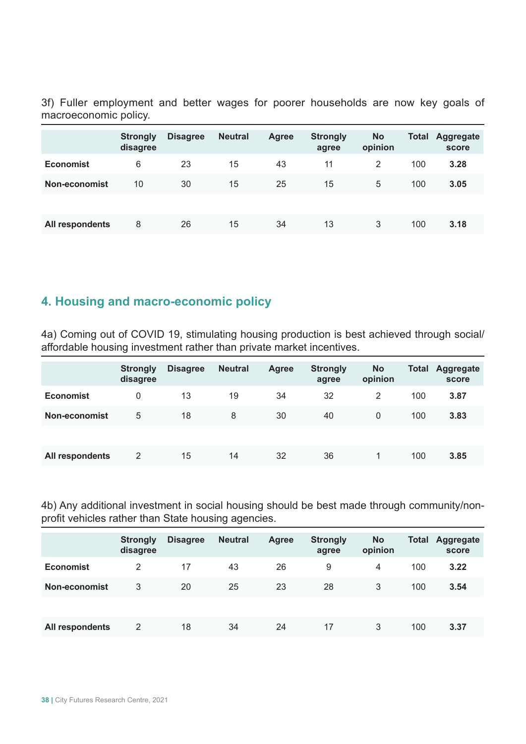3f) Fuller employment and better wages for poorer households are now key goals of macroeconomic policy.

|                  | <b>Strongly</b><br>disagree | <b>Disagree</b> | <b>Neutral</b> | <b>Agree</b> | <b>Strongly</b><br>agree | <b>No</b><br>opinion | <b>Total</b> | Aggregate<br>score |
|------------------|-----------------------------|-----------------|----------------|--------------|--------------------------|----------------------|--------------|--------------------|
| <b>Economist</b> | 6                           | 23              | 15             | 43           | 11                       | 2                    | 100          | 3.28               |
| Non-economist    | 10                          | 30              | 15             | 25           | 15                       | 5                    | 100          | 3.05               |
|                  |                             |                 |                |              |                          |                      |              |                    |
| All respondents  | 8                           | 26              | 15             | 34           | 13                       | 3                    | 100          | 3.18               |

### **4. Housing and macro-economic policy**

4a) Coming out of COVID 19, stimulating housing production is best achieved through social/ affordable housing investment rather than private market incentives.

|                  | <b>Strongly</b><br>disagree | <b>Disagree</b> | <b>Neutral</b> | <b>Agree</b> | <b>Strongly</b><br>agree | <b>No</b><br>opinion | <b>Total</b> | Aggregate<br>score |
|------------------|-----------------------------|-----------------|----------------|--------------|--------------------------|----------------------|--------------|--------------------|
| <b>Economist</b> | 0                           | 13              | 19             | 34           | 32                       | 2                    | 100          | 3.87               |
| Non-economist    | 5                           | 18              | 8              | 30           | 40                       | $\mathbf{0}$         | 100          | 3.83               |
|                  |                             |                 |                |              |                          |                      |              |                    |
| All respondents  | 2                           | 15              | 14             | 32           | 36                       |                      | 100          | 3.85               |

4b) Any additional investment in social housing should be best made through community/nonprofit vehicles rather than State housing agencies.

|                  | <b>Strongly</b><br>disagree | <b>Disagree</b> | <b>Neutral</b> | <b>Agree</b> | <b>Strongly</b><br>agree | <b>No</b><br>opinion | <b>Total</b> | Aggregate<br>score |
|------------------|-----------------------------|-----------------|----------------|--------------|--------------------------|----------------------|--------------|--------------------|
| <b>Economist</b> | 2                           | 17              | 43             | 26           | 9                        | 4                    | 100          | 3.22               |
| Non-economist    | 3                           | 20              | 25             | 23           | 28                       | 3                    | 100          | 3.54               |
|                  |                             |                 |                |              |                          |                      |              |                    |
| All respondents  | 2                           | 18              | 34             | 24           | 17                       | 3                    | 100          | 3.37               |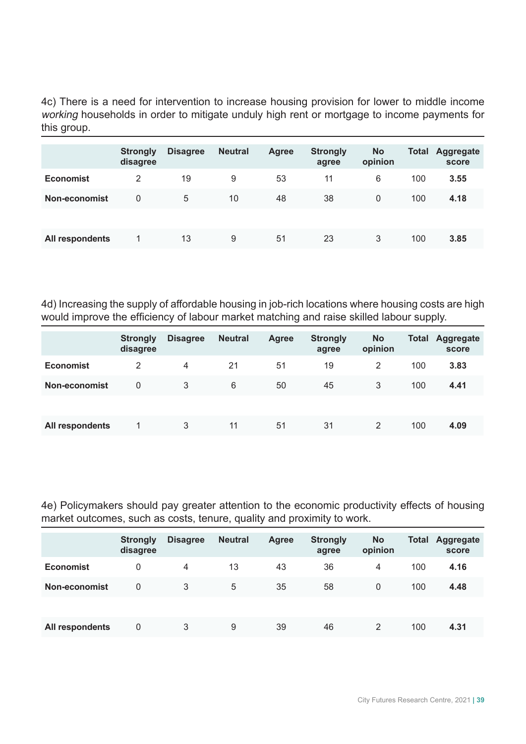4c) There is a need for intervention to increase housing provision for lower to middle income working households in order to mitigate unduly high rent or mortgage to income payments for this group.

|                  | <b>Strongly</b><br>disagree | <b>Disagree</b> | <b>Neutral</b> | <b>Agree</b> | <b>Strongly</b><br>agree | <b>No</b><br>opinion | <b>Total</b> | Aggregate<br>score |
|------------------|-----------------------------|-----------------|----------------|--------------|--------------------------|----------------------|--------------|--------------------|
| <b>Economist</b> | 2                           | 19              | 9              | 53           | 11                       | 6                    | 100          | 3.55               |
| Non-economist    | 0                           | 5               | 10             | 48           | 38                       | $\Omega$             | 100          | 4.18               |
|                  |                             |                 |                |              |                          |                      |              |                    |
| All respondents  |                             | 13              | 9              | 51           | 23                       | 3                    | 100          | 3.85               |

4d) Increasing the supply of affordable housing in job-rich locations where housing costs are high would improve the efficiency of labour market matching and raise skilled labour supply.

|                  | <b>Strongly</b><br>disagree | <b>Disagree</b> | <b>Neutral</b> | <b>Agree</b> | <b>Strongly</b><br>agree | <b>No</b><br>opinion | <b>Total</b> | Aggregate<br>score |
|------------------|-----------------------------|-----------------|----------------|--------------|--------------------------|----------------------|--------------|--------------------|
| <b>Economist</b> | 2                           | 4               | 21             | 51           | 19                       | 2                    | 100          | 3.83               |
| Non-economist    | 0                           | 3               | 6              | 50           | 45                       | 3                    | 100          | 4.41               |
|                  |                             |                 |                |              |                          |                      |              |                    |
| All respondents  |                             | 3               | 11             | 51           | 31                       | 2                    | 100          | 4.09               |

4e) Policymakers should pay greater attention to the economic productivity effects of housing market outcomes, such as costs, tenure, quality and proximity to work.

|                  | <b>Strongly</b><br>disagree | <b>Disagree</b> | <b>Neutral</b> | <b>Agree</b> | <b>Strongly</b><br>agree | <b>No</b><br>opinion | <b>Total</b> | Aggregate<br>score |
|------------------|-----------------------------|-----------------|----------------|--------------|--------------------------|----------------------|--------------|--------------------|
| <b>Economist</b> | 0                           | 4               | 13             | 43           | 36                       | 4                    | 100          | 4.16               |
| Non-economist    | 0                           | 3               | 5              | 35           | 58                       | $\Omega$             | 100          | 4.48               |
|                  |                             |                 |                |              |                          |                      |              |                    |
| All respondents  | 0                           | 3               | 9              | 39           | 46                       | 2                    | 100          | 4.31               |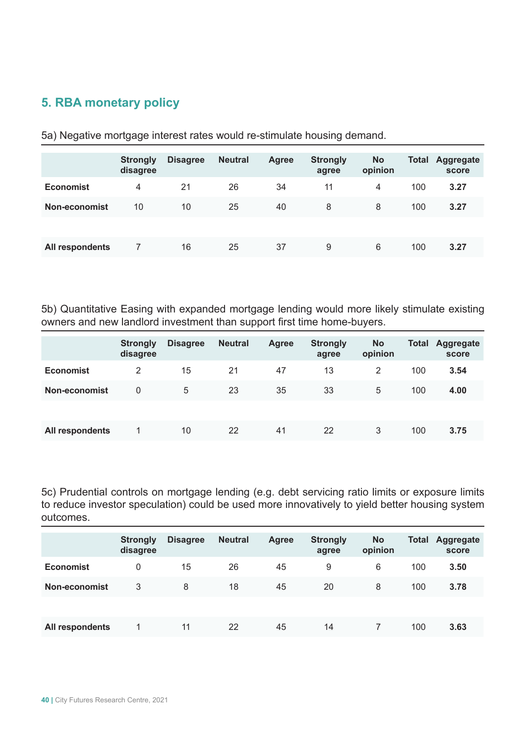# **5. RBA monetary policy**

|                  | <b>Strongly</b><br>disagree | <b>Disagree</b> | <b>Neutral</b> | <b>Agree</b> | <b>Strongly</b><br>agree | <b>No</b><br>opinion | Total | Aggregate<br>score |
|------------------|-----------------------------|-----------------|----------------|--------------|--------------------------|----------------------|-------|--------------------|
| <b>Economist</b> | 4                           | 21              | 26             | 34           | 11                       | $\overline{4}$       | 100   | 3.27               |
| Non-economist    | 10                          | 10              | 25             | 40           | 8                        | 8                    | 100   | 3.27               |
|                  |                             |                 |                |              |                          |                      |       |                    |
| All respondents  |                             | 16              | 25             | 37           | 9                        | 6                    | 100   | 3.27               |

5a) Negative mortgage interest rates would re-stimulate housing demand.

5b) Quantitative Easing with expanded mortgage lending would more likely stimulate existing owners and new landlord investment than support first time home-buyers.

|                  | <b>Strongly</b><br>disagree | <b>Disagree</b> | <b>Neutral</b> | <b>Agree</b> | <b>Strongly</b><br>agree | <b>No</b><br>opinion | Total | Aggregate<br>score |
|------------------|-----------------------------|-----------------|----------------|--------------|--------------------------|----------------------|-------|--------------------|
| <b>Economist</b> | 2                           | 15              | 21             | 47           | 13                       | 2                    | 100   | 3.54               |
| Non-economist    | 0                           | 5               | 23             | 35           | 33                       | 5                    | 100   | 4.00               |
|                  |                             |                 |                |              |                          |                      |       |                    |
| All respondents  |                             | 10              | 22             | 41           | 22                       | 3                    | 100   | 3.75               |

5c) Prudential controls on mortgage lending (e.g. debt servicing ratio limits or exposure limits to reduce investor speculation) could be used more innovatively to yield better housing system outcomes.

|                  | <b>Strongly</b><br>disagree | <b>Disagree</b> | <b>Neutral</b> | <b>Agree</b> | <b>Strongly</b><br>agree | <b>No</b><br>opinion | <b>Total</b> | Aggregate<br>score |
|------------------|-----------------------------|-----------------|----------------|--------------|--------------------------|----------------------|--------------|--------------------|
| <b>Economist</b> | 0                           | 15              | 26             | 45           | 9                        | 6                    | 100          | 3.50               |
| Non-economist    | 3                           | 8               | 18             | 45           | 20                       | 8                    | 100          | 3.78               |
|                  |                             |                 |                |              |                          |                      |              |                    |
| All respondents  |                             | 11              | 22             | 45           | 14                       |                      | 100          | 3.63               |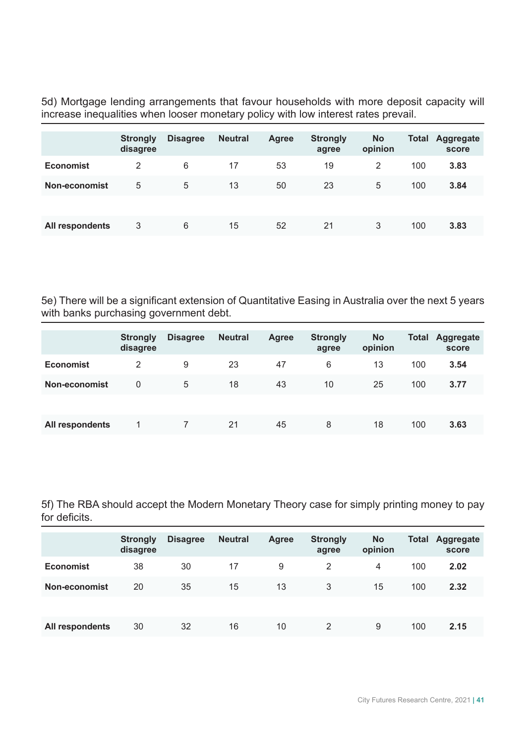5d) Mortgage lending arrangements that favour households with more deposit capacity will increase inequalities when looser monetary policy with low interest rates prevail.

|                  | <b>Strongly</b><br>disagree | <b>Disagree</b> | <b>Neutral</b> | <b>Agree</b> | <b>Strongly</b><br>agree | <b>No</b><br>opinion | <b>Total</b> | Aggregate<br>score |
|------------------|-----------------------------|-----------------|----------------|--------------|--------------------------|----------------------|--------------|--------------------|
| <b>Economist</b> | 2                           | 6               | 17             | 53           | 19                       | 2                    | 100          | 3.83               |
| Non-economist    | 5                           | 5               | 13             | 50           | 23                       | 5                    | 100          | 3.84               |
|                  |                             |                 |                |              |                          |                      |              |                    |
| All respondents  | 3                           | 6               | 15             | 52           | 21                       | 3                    | 100          | 3.83               |

5e) There will be a significant extension of Quantitative Easing in Australia over the next 5 years with banks purchasing government debt.

|                  | <b>Strongly</b><br>disagree | <b>Disagree</b> | <b>Neutral</b> | <b>Agree</b> | <b>Strongly</b><br>agree | <b>No</b><br>opinion | <b>Total</b> | Aggregate<br>score |
|------------------|-----------------------------|-----------------|----------------|--------------|--------------------------|----------------------|--------------|--------------------|
| <b>Economist</b> | 2                           | 9               | 23             | 47           | 6                        | 13                   | 100          | 3.54               |
| Non-economist    | 0                           | 5               | 18             | 43           | 10                       | 25                   | 100          | 3.77               |
|                  |                             |                 |                |              |                          |                      |              |                    |
| All respondents  |                             |                 | 21             | 45           | 8                        | 18                   | 100          | 3.63               |

5f) The RBA should accept the Modern Monetary Theory case for simply printing money to pay for deficits.

|                  | <b>Strongly</b><br>disagree | <b>Disagree</b> | <b>Neutral</b> | <b>Agree</b> | <b>Strongly</b><br>agree | <b>No</b><br>opinion | <b>Total</b> | <b>Aggregate</b><br>score |
|------------------|-----------------------------|-----------------|----------------|--------------|--------------------------|----------------------|--------------|---------------------------|
| <b>Economist</b> | 38                          | 30              | 17             | 9            | 2                        | 4                    | 100          | 2.02                      |
| Non-economist    | 20                          | 35              | 15             | 13           | 3                        | 15                   | 100          | 2.32                      |
|                  |                             |                 |                |              |                          |                      |              |                           |
| All respondents  | 30                          | 32              | 16             | 10           | 2                        | 9                    | 100          | 2.15                      |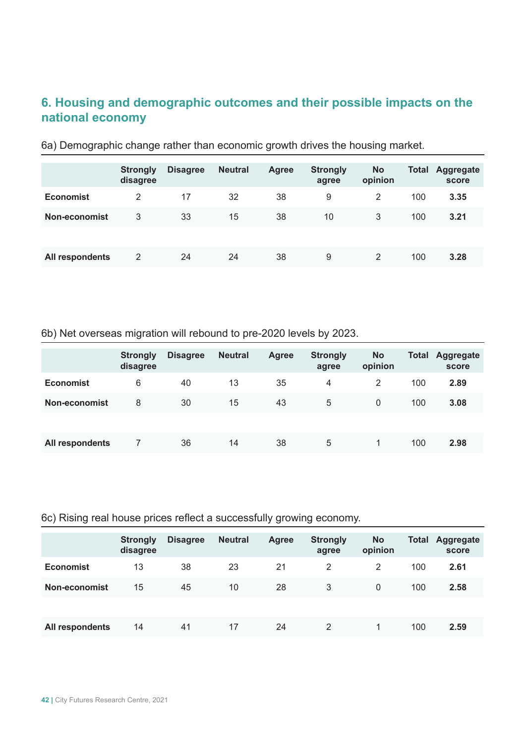# **6. Housing and demographic outcomes and their possible impacts on the national economy**

|                  | <b>Strongly</b><br>disagree | <b>Disagree</b> | <b>Neutral</b> | <b>Agree</b> | <b>Strongly</b><br>agree | <b>No</b><br>opinion | <b>Total</b> | Aggregate<br>score |
|------------------|-----------------------------|-----------------|----------------|--------------|--------------------------|----------------------|--------------|--------------------|
| <b>Economist</b> | 2                           | 17              | 32             | 38           | 9                        | 2                    | 100          | 3.35               |
| Non-economist    | 3                           | 33              | 15             | 38           | 10                       | 3                    | 100          | 3.21               |
|                  |                             |                 |                |              |                          |                      |              |                    |
| All respondents  | 2                           | 24              | 24             | 38           | 9                        | 2                    | 100          | 3.28               |

6a) Demographic change rather than economic growth drives the housing market.

6b) Net overseas migration will rebound to pre-2020 levels by 2023.

|                  | <b>Strongly</b><br>disagree | <b>Disagree</b> | <b>Neutral</b> | <b>Agree</b> | <b>Strongly</b><br>agree | <b>No</b><br>opinion | <b>Total</b> | <b>Aggregate</b><br>score |
|------------------|-----------------------------|-----------------|----------------|--------------|--------------------------|----------------------|--------------|---------------------------|
| <b>Economist</b> | 6                           | 40              | 13             | 35           | 4                        | 2                    | 100          | 2.89                      |
| Non-economist    | 8                           | 30              | 15             | 43           | 5                        | $\Omega$             | 100          | 3.08                      |
|                  |                             |                 |                |              |                          |                      |              |                           |
| All respondents  |                             | 36              | 14             | 38           | 5                        | 1                    | 100          | 2.98                      |

#### 6c) Rising real house prices reflect a successfully growing economy.

|                  | <b>Strongly</b><br>disagree | <b>Disagree</b> | <b>Neutral</b> | <b>Agree</b> | <b>Strongly</b><br>agree | <b>No</b><br>opinion | <b>Total</b> | Aggregate<br>score |
|------------------|-----------------------------|-----------------|----------------|--------------|--------------------------|----------------------|--------------|--------------------|
| <b>Economist</b> | 13                          | 38              | 23             | 21           | 2                        | 2                    | 100          | 2.61               |
| Non-economist    | 15                          | 45              | 10             | 28           | 3                        | $\Omega$             | 100          | 2.58               |
|                  |                             |                 |                |              |                          |                      |              |                    |
| All respondents  | 14                          | 41              | 17             | 24           | 2                        |                      | 100          | 2.59               |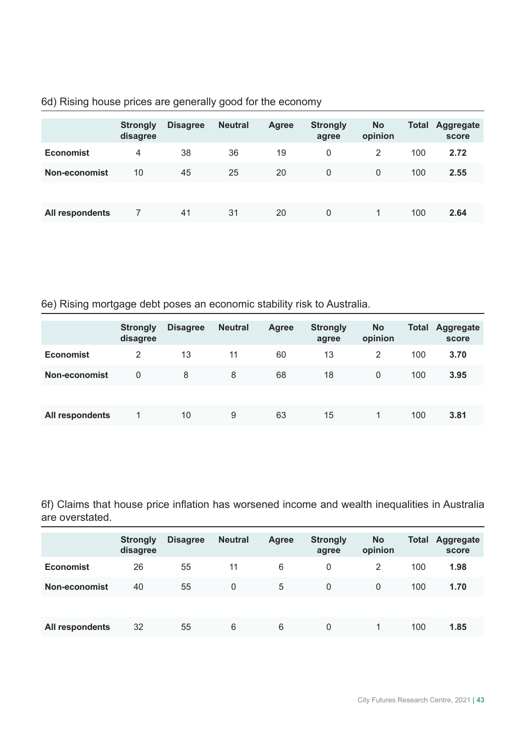|  |  |  |  |  |  |  |  | 6d) Rising house prices are generally good for the economy |
|--|--|--|--|--|--|--|--|------------------------------------------------------------|
|--|--|--|--|--|--|--|--|------------------------------------------------------------|

|                  | <b>Strongly</b><br>disagree | <b>Disagree</b> | <b>Neutral</b> | <b>Agree</b> | <b>Strongly</b><br>agree | <b>No</b><br>opinion | Total | <b>Aggregate</b><br>score |
|------------------|-----------------------------|-----------------|----------------|--------------|--------------------------|----------------------|-------|---------------------------|
| <b>Economist</b> | 4                           | 38              | 36             | 19           | 0                        | 2                    | 100   | 2.72                      |
| Non-economist    | 10                          | 45              | 25             | 20           | 0                        | $\Omega$             | 100   | 2.55                      |
|                  |                             |                 |                |              |                          |                      |       |                           |
| All respondents  |                             | 41              | 31             | 20           | 0                        |                      | 100   | 2.64                      |

6e) Rising mortgage debt poses an economic stability risk to Australia.

|                  | <b>Strongly</b><br>disagree | <b>Disagree</b> | <b>Neutral</b> | <b>Agree</b> | <b>Strongly</b><br>agree | <b>No</b><br>opinion | <b>Total</b> | <b>Aggregate</b><br>score |
|------------------|-----------------------------|-----------------|----------------|--------------|--------------------------|----------------------|--------------|---------------------------|
| <b>Economist</b> | 2                           | 13              | 11             | 60           | 13                       | 2                    | 100          | 3.70                      |
| Non-economist    | 0                           | 8               | 8              | 68           | 18                       | $\mathbf{0}$         | 100          | 3.95                      |
|                  |                             |                 |                |              |                          |                      |              |                           |
| All respondents  |                             | 10              | 9              | 63           | 15                       |                      | 100          | 3.81                      |

6f) Claims that house price inflation has worsened income and wealth inequalities in Australia are overstated.

|                  | <b>Strongly</b><br>disagree | <b>Disagree</b> | <b>Neutral</b> | <b>Agree</b> | <b>Strongly</b><br>agree | <b>No</b><br>opinion | <b>Total</b> | <b>Aggregate</b><br>score |
|------------------|-----------------------------|-----------------|----------------|--------------|--------------------------|----------------------|--------------|---------------------------|
| <b>Economist</b> | 26                          | 55              | 11             | 6            | 0                        | 2                    | 100          | 1.98                      |
| Non-economist    | 40                          | 55              | 0              | 5            | 0                        | $\Omega$             | 100          | 1.70                      |
|                  |                             |                 |                |              |                          |                      |              |                           |
| All respondents  | 32                          | 55              | 6              | 6            | 0                        | 1                    | 100          | 1.85                      |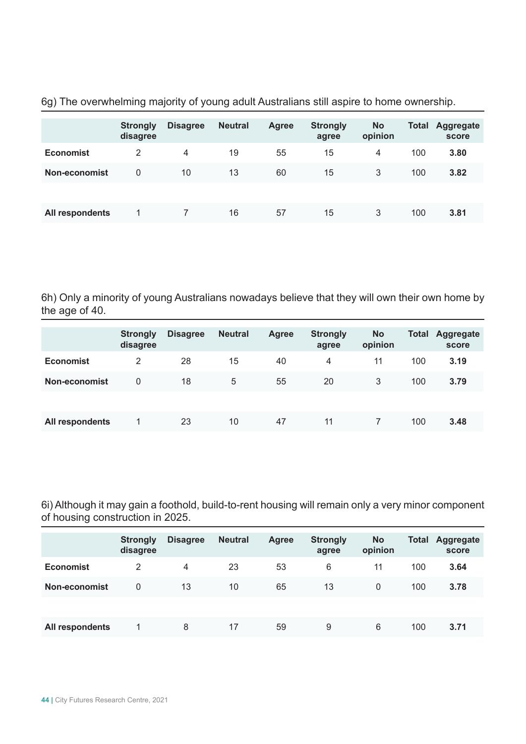|                  | <b>Strongly</b><br>disagree | <b>Disagree</b> | <b>Neutral</b> | <b>Agree</b> | <b>Strongly</b><br>agree | <b>No</b><br>opinion | <b>Total</b> | Aggregate<br>score |
|------------------|-----------------------------|-----------------|----------------|--------------|--------------------------|----------------------|--------------|--------------------|
| <b>Economist</b> | 2                           | $\overline{4}$  | 19             | 55           | 15                       | $\overline{4}$       | 100          | 3.80               |
| Non-economist    | 0                           | 10              | 13             | 60           | 15                       | 3                    | 100          | 3.82               |
|                  |                             |                 |                |              |                          |                      |              |                    |
| All respondents  |                             |                 | 16             | 57           | 15                       | 3                    | 100          | 3.81               |

6g) The overwhelming majority of young adult Australians still aspire to home ownership.

6h) Only a minority of young Australians nowadays believe that they will own their own home by the age of 40.

|                  | <b>Strongly</b><br>disagree | <b>Disagree</b> | <b>Neutral</b> | <b>Agree</b> | <b>Strongly</b><br>agree | <b>No</b><br>opinion | <b>Total</b> | <b>Aggregate</b><br>score |
|------------------|-----------------------------|-----------------|----------------|--------------|--------------------------|----------------------|--------------|---------------------------|
| <b>Economist</b> | 2                           | 28              | 15             | 40           | 4                        | 11                   | 100          | 3.19                      |
| Non-economist    | 0                           | 18              | 5              | 55           | 20                       | 3                    | 100          | 3.79                      |
|                  |                             |                 |                |              |                          |                      |              |                           |
| All respondents  |                             | 23              | 10             | 47           | 11                       |                      | 100          | 3.48                      |

6i) Although it may gain a foothold, build-to-rent housing will remain only a very minor component of housing construction in 2025.

|                  | <b>Strongly</b><br>disagree | <b>Disagree</b> | <b>Neutral</b> | <b>Agree</b> | <b>Strongly</b><br>agree | <b>No</b><br>opinion | <b>Total</b> | <b>Aggregate</b><br>score |
|------------------|-----------------------------|-----------------|----------------|--------------|--------------------------|----------------------|--------------|---------------------------|
| <b>Economist</b> | 2                           | 4               | 23             | 53           | 6                        | 11                   | 100          | 3.64                      |
| Non-economist    | 0                           | 13              | 10             | 65           | 13                       | $\Omega$             | 100          | 3.78                      |
|                  |                             |                 |                |              |                          |                      |              |                           |
| All respondents  |                             | 8               | 17             | 59           | 9                        | 6                    | 100          | 3.71                      |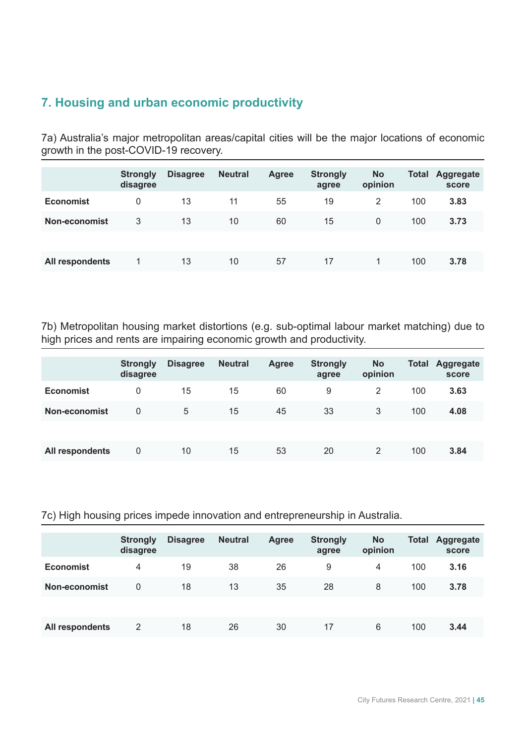# **7. Housing and urban economic productivity**

7a) Australia's major metropolitan areas/capital cities will be the major locations of economic growth in the post-COVID-19 recovery.

|                  | <b>Strongly</b><br>disagree | <b>Disagree</b> | <b>Neutral</b> | <b>Agree</b> | <b>Strongly</b><br>agree | <b>No</b><br>opinion | <b>Total</b> | <b>Aggregate</b><br>score |
|------------------|-----------------------------|-----------------|----------------|--------------|--------------------------|----------------------|--------------|---------------------------|
| <b>Economist</b> | 0                           | 13              | 11             | 55           | 19                       | 2                    | 100          | 3.83                      |
| Non-economist    | 3                           | 13              | 10             | 60           | 15                       | $\mathbf{0}$         | 100          | 3.73                      |
|                  |                             |                 |                |              |                          |                      |              |                           |
| All respondents  |                             | 13              | 10             | 57           | 17                       |                      | 100          | 3.78                      |

7b) Metropolitan housing market distortions (e.g. sub-optimal labour market matching) due to high prices and rents are impairing economic growth and productivity.

|                  | <b>Strongly</b><br>disagree | <b>Disagree</b> | <b>Neutral</b> | Agree | <b>Strongly</b><br>agree | <b>No</b><br>opinion | <b>Total</b> | Aggregate<br>score |
|------------------|-----------------------------|-----------------|----------------|-------|--------------------------|----------------------|--------------|--------------------|
| <b>Economist</b> | 0                           | 15              | 15             | 60    | 9                        | 2                    | 100          | 3.63               |
| Non-economist    | 0                           | 5               | 15             | 45    | 33                       | 3                    | 100          | 4.08               |
|                  |                             |                 |                |       |                          |                      |              |                    |
| All respondents  | 0                           | 10              | 15             | 53    | 20                       | 2                    | 100          | 3.84               |

7c) High housing prices impede innovation and entrepreneurship in Australia.

|                  | <b>Strongly</b><br>disagree | <b>Disagree</b> | <b>Neutral</b> | <b>Agree</b> | <b>Strongly</b><br>agree | <b>No</b><br>opinion | <b>Total</b> | Aggregate<br>score |
|------------------|-----------------------------|-----------------|----------------|--------------|--------------------------|----------------------|--------------|--------------------|
| <b>Economist</b> | 4                           | 19              | 38             | 26           | 9                        | 4                    | 100          | 3.16               |
| Non-economist    | 0                           | 18              | 13             | 35           | 28                       | 8                    | 100          | 3.78               |
|                  |                             |                 |                |              |                          |                      |              |                    |
| All respondents  | 2                           | 18              | 26             | 30           | 17                       | 6                    | 100          | 3.44               |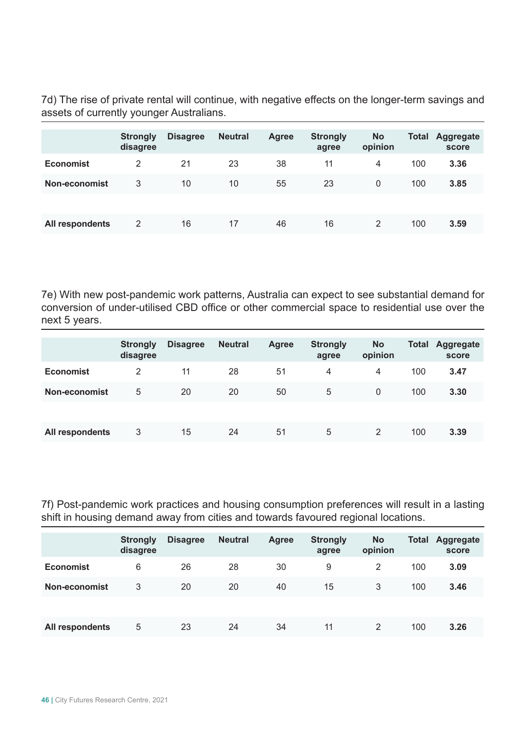7d) The rise of private rental will continue, with negative effects on the longer-term savings and assets of currently younger Australians.

|                  | <b>Strongly</b><br>disagree | <b>Disagree</b> | <b>Neutral</b> | <b>Agree</b> | <b>Strongly</b><br>agree | <b>No</b><br>opinion | <b>Total</b> | <b>Aggregate</b><br>score |
|------------------|-----------------------------|-----------------|----------------|--------------|--------------------------|----------------------|--------------|---------------------------|
| <b>Economist</b> | 2                           | 21              | 23             | 38           | 11                       | 4                    | 100          | 3.36                      |
| Non-economist    | 3                           | 10              | 10             | 55           | 23                       | $\Omega$             | 100          | 3.85                      |
|                  |                             |                 |                |              |                          |                      |              |                           |
| All respondents  | 2                           | 16              | 17             | 46           | 16                       | 2                    | 100          | 3.59                      |

7e) With new post-pandemic work patterns, Australia can expect to see substantial demand for conversion of under-utilised CBD office or other commercial space to residential use over the next 5 years.

|                  | <b>Strongly</b><br>disagree | <b>Disagree</b> | <b>Neutral</b> | <b>Agree</b> | <b>Strongly</b><br>agree | <b>No</b><br>opinion | <b>Total</b> | Aggregate<br>score |
|------------------|-----------------------------|-----------------|----------------|--------------|--------------------------|----------------------|--------------|--------------------|
| <b>Economist</b> | 2                           | 11              | 28             | 51           | 4                        | 4                    | 100          | 3.47               |
| Non-economist    | 5                           | 20              | 20             | 50           | 5                        | 0                    | 100          | 3.30               |
|                  |                             |                 |                |              |                          |                      |              |                    |
| All respondents  | 3                           | 15              | 24             | 51           | 5                        | 2                    | 100          | 3.39               |

7f) Post-pandemic work practices and housing consumption preferences will result in a lasting shift in housing demand away from cities and towards favoured regional locations.

|                  | <b>Strongly</b><br>disagree | <b>Disagree</b> | <b>Neutral</b> | <b>Agree</b> | <b>Strongly</b><br>agree | <b>No</b><br>opinion | <b>Total</b> | Aggregate<br>score |
|------------------|-----------------------------|-----------------|----------------|--------------|--------------------------|----------------------|--------------|--------------------|
| <b>Economist</b> | 6                           | 26              | 28             | 30           | 9                        | 2                    | 100          | 3.09               |
| Non-economist    | 3                           | 20              | 20             | 40           | 15                       | 3                    | 100          | 3.46               |
|                  |                             |                 |                |              |                          |                      |              |                    |
| All respondents  | 5                           | 23              | 24             | 34           | 11                       | 2                    | 100          | 3.26               |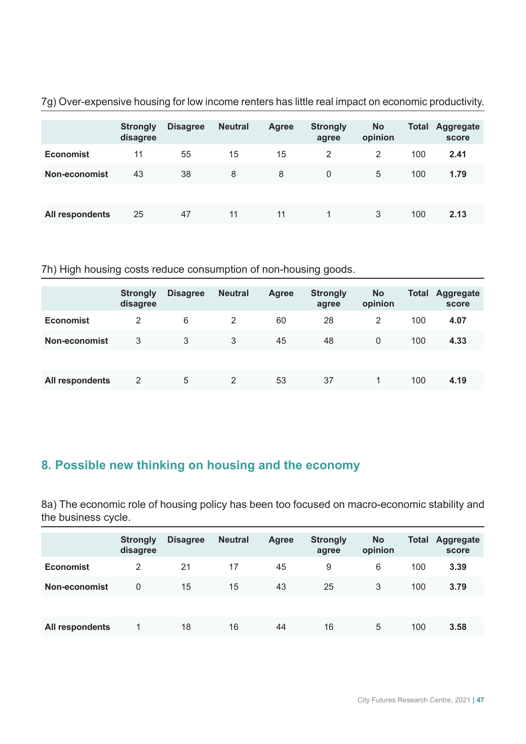|                  | <b>Strongly</b><br>disagree | <b>Disagree</b> | <b>Neutral</b> | <b>Agree</b> | <b>Strongly</b><br>agree | <b>No</b><br>opinion | <b>Total</b> | Aggregate<br>score |
|------------------|-----------------------------|-----------------|----------------|--------------|--------------------------|----------------------|--------------|--------------------|
| <b>Economist</b> | 11                          | 55              | 15             | 15           | 2                        | 2                    | 100          | 2.41               |
| Non-economist    | 43                          | 38              | 8              | 8            | 0                        | 5                    | 100          | 1.79               |
|                  |                             |                 |                |              |                          |                      |              |                    |
| All respondents  | 25                          | 47              | 11             | 11           |                          | 3                    | 100          | 2.13               |

7g) Over-expensive housing for low income renters has little real impact on economic productivity.

#### 7h) High housing costs reduce consumption of non-housing goods.

|                  | <b>Strongly</b><br>disagree | <b>Disagree</b> | <b>Neutral</b> | <b>Agree</b> | <b>Strongly</b><br>agree | <b>No</b><br>opinion | <b>Total</b> | Aggregate<br>score |
|------------------|-----------------------------|-----------------|----------------|--------------|--------------------------|----------------------|--------------|--------------------|
| <b>Economist</b> | 2                           | 6               | 2              | 60           | 28                       | 2                    | 100          | 4.07               |
| Non-economist    | 3                           | 3               | 3              | 45           | 48                       | $\mathbf{0}$         | 100          | 4.33               |
|                  |                             |                 |                |              |                          |                      |              |                    |
| All respondents  | 2                           | 5               | 2              | 53           | 37                       |                      | 100          | 4.19               |

# **8. Possible new thinking on housing and the economy**

8a) The economic role of housing policy has been too focused on macro-economic stability and the business cycle.

|                  | <b>Strongly</b><br>disagree | <b>Disagree</b> | <b>Neutral</b> | <b>Agree</b> | <b>Strongly</b><br>agree | <b>No</b><br>opinion | <b>Total</b> | Aggregate<br>score |
|------------------|-----------------------------|-----------------|----------------|--------------|--------------------------|----------------------|--------------|--------------------|
| <b>Economist</b> | 2                           | 21              | 17             | 45           | 9                        | 6                    | 100          | 3.39               |
| Non-economist    | 0                           | 15              | 15             | 43           | 25                       | 3                    | 100          | 3.79               |
|                  |                             |                 |                |              |                          |                      |              |                    |
| All respondents  |                             | 18              | 16             | 44           | 16                       | 5                    | 100          | 3.58               |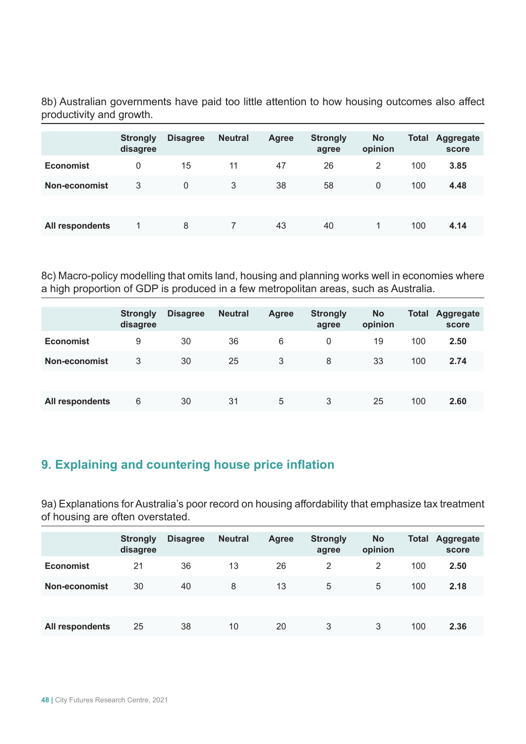8b) Australian governments have paid too little attention to how housing outcomes also affect productivity and growth.

|                  | <b>Strongly</b><br>disagree | <b>Disagree</b> | <b>Neutral</b> | <b>Agree</b> | <b>Strongly</b><br>agree | <b>No</b><br>opinion | <b>Total</b> | Aggregate<br>score |
|------------------|-----------------------------|-----------------|----------------|--------------|--------------------------|----------------------|--------------|--------------------|
| <b>Economist</b> | 0                           | 15              | 11             | 47           | 26                       | 2                    | 100          | 3.85               |
| Non-economist    | 3                           | $\Omega$        | 3              | 38           | 58                       | $\mathbf{0}$         | 100          | 4.48               |
|                  |                             |                 |                |              |                          |                      |              |                    |
| All respondents  |                             | 8               | 7              | 43           | 40                       |                      | 100          | 4.14               |

8c) Macro-policy modelling that omits land, housing and planning works well in economies where a high proportion of GDP is produced in a few metropolitan areas, such as Australia.

|                  | <b>Strongly</b><br>disagree | <b>Disagree</b> | <b>Neutral</b> | <b>Agree</b> | <b>Strongly</b><br>agree | <b>No</b><br>opinion | <b>Total</b> | Aggregate<br>score |
|------------------|-----------------------------|-----------------|----------------|--------------|--------------------------|----------------------|--------------|--------------------|
| <b>Economist</b> | 9                           | 30              | 36             | 6            | 0                        | 19                   | 100          | 2.50               |
| Non-economist    | 3                           | 30              | 25             | 3            | 8                        | 33                   | 100          | 2.74               |
|                  |                             |                 |                |              |                          |                      |              |                    |
| All respondents  | 6                           | 30              | 31             | 5            | 3                        | 25                   | 100          | 2.60               |

# **9. Explaining and countering house price inflation**

9a) Explanations for Australia's poor record on housing affordability that emphasize tax treatment of housing are often overstated.

|                  | <b>Strongly</b><br>disagree | <b>Disagree</b> | <b>Neutral</b> | <b>Agree</b> | <b>Strongly</b><br>agree | <b>No</b><br>opinion | <b>Total</b> | Aggregate<br>score |
|------------------|-----------------------------|-----------------|----------------|--------------|--------------------------|----------------------|--------------|--------------------|
| <b>Economist</b> | 21                          | 36              | 13             | 26           | 2                        | 2                    | 100          | 2.50               |
| Non-economist    | 30                          | 40              | 8              | 13           | 5                        | 5                    | 100          | 2.18               |
|                  |                             |                 |                |              |                          |                      |              |                    |
| All respondents  | 25                          | 38              | 10             | 20           | 3                        | 3                    | 100          | 2.36               |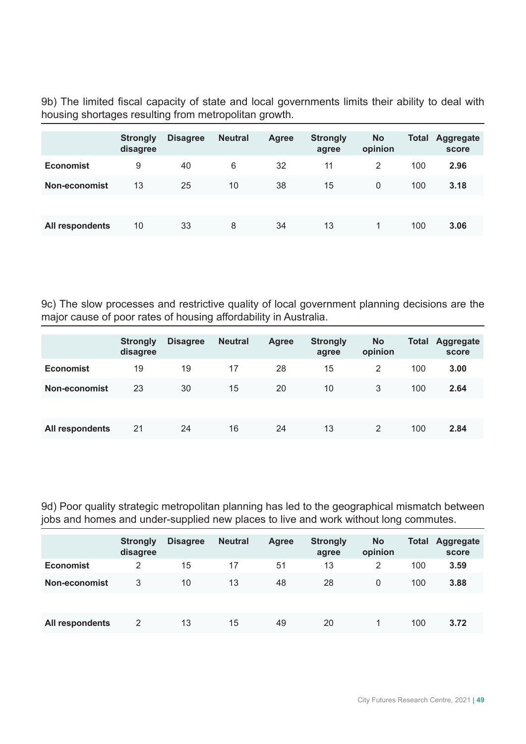9b) The limited fiscal capacity of state and local governments limits their ability to deal with housing shortages resulting from metropolitan growth.

|                      | <b>Strongly</b><br>disagree | <b>Disagree</b> | <b>Neutral</b> | Agree | <b>Strongly</b><br>agree | <b>No</b><br>opinion | <b>Total</b> | Aggregate<br>score |
|----------------------|-----------------------------|-----------------|----------------|-------|--------------------------|----------------------|--------------|--------------------|
| <b>Economist</b>     | 9                           | 40              | 6              | 32    | 11                       | 2                    | 100          | 2.96               |
| <b>Non-economist</b> | 13                          | 25              | 10             | 38    | 15                       | $\Omega$             | 100          | 3.18               |
|                      |                             |                 |                |       |                          |                      |              |                    |
| All respondents      | 10                          | 33              | 8              | 34    | 13                       | 1.                   | 100          | 3.06               |

9c) The slow processes and restrictive quality of local government planning decisions are the major cause of poor rates of housing affordability in Australia.

|                  | <b>Strongly</b><br>disagree | <b>Disagree</b> | <b>Neutral</b> | Agree | <b>Strongly</b><br>agree | <b>No</b><br>opinion | <b>Total</b> | Aggregate<br>score |
|------------------|-----------------------------|-----------------|----------------|-------|--------------------------|----------------------|--------------|--------------------|
| <b>Economist</b> | 19                          | 19              | 17             | 28    | 15                       | 2                    | 100          | 3.00               |
| Non-economist    | 23                          | 30              | 15             | 20    | 10                       | 3                    | 100          | 2.64               |
|                  |                             |                 |                |       |                          |                      |              |                    |
| All respondents  | 21                          | 24              | 16             | 24    | 13                       | 2                    | 100          | 2.84               |

9d) Poor quality strategic metropolitan planning has led to the geographical mismatch between jobs and homes and under-supplied new places to live and work without long commutes.

|                  | <b>Strongly</b><br>disagree | <b>Disagree</b> | <b>Neutral</b> | <b>Agree</b> | <b>Strongly</b><br>agree | <b>No</b><br>opinion | <b>Total</b> | <b>Aggregate</b><br>score |
|------------------|-----------------------------|-----------------|----------------|--------------|--------------------------|----------------------|--------------|---------------------------|
| <b>Economist</b> | 2                           | 15              | 17             | 51           | 13                       | 2                    | 100          | 3.59                      |
| Non-economist    | 3                           | 10              | 13             | 48           | 28                       | $\mathbf{0}$         | 100          | 3.88                      |
|                  |                             |                 |                |              |                          |                      |              |                           |
| All respondents  | 2                           | 13              | 15             | 49           | 20                       |                      | 100          | 3.72                      |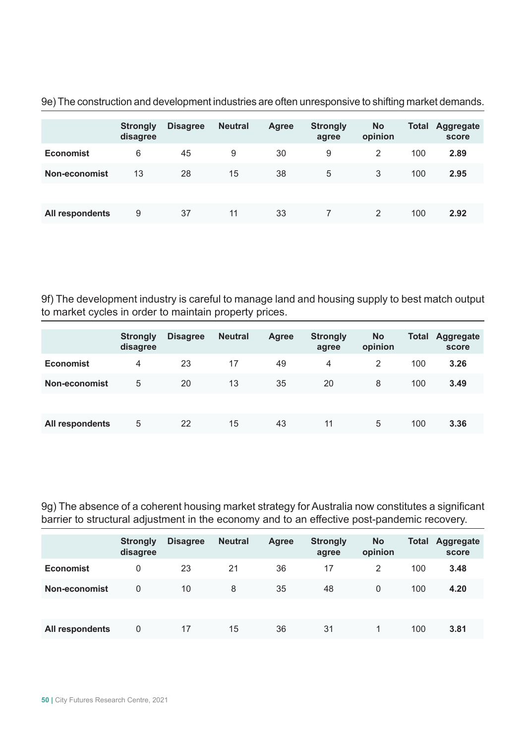|                  | <b>Strongly</b><br>disagree | <b>Disagree</b> | <b>Neutral</b> | <b>Agree</b> | <b>Strongly</b><br>agree | <b>No</b><br>opinion | <b>Total</b> | <b>Aggregate</b><br>score |
|------------------|-----------------------------|-----------------|----------------|--------------|--------------------------|----------------------|--------------|---------------------------|
| <b>Economist</b> | 6                           | 45              | 9              | 30           | 9                        | 2                    | 100          | 2.89                      |
| Non-economist    | 13                          | 28              | 15             | 38           | 5                        | 3                    | 100          | 2.95                      |
|                  |                             |                 |                |              |                          |                      |              |                           |
| All respondents  | 9                           | 37              | 11             | 33           |                          | 2                    | 100          | 2.92                      |

9e) The construction and development industries are often unresponsive to shifting market demands.

9f) The development industry is careful to manage land and housing supply to best match output to market cycles in order to maintain property prices.

|                  | <b>Strongly</b><br>disagree | <b>Disagree</b> | <b>Neutral</b> | <b>Agree</b> | <b>Strongly</b><br>agree | <b>No</b><br>opinion | <b>Total</b> | Aggregate<br>score |
|------------------|-----------------------------|-----------------|----------------|--------------|--------------------------|----------------------|--------------|--------------------|
| <b>Economist</b> | 4                           | 23              | 17             | 49           | 4                        | 2                    | 100          | 3.26               |
| Non-economist    | 5                           | 20              | 13             | 35           | 20                       | 8                    | 100          | 3.49               |
|                  |                             |                 |                |              |                          |                      |              |                    |
| All respondents  | 5                           | 22              | 15             | 43           | 11                       | 5                    | 100          | 3.36               |

9g) The absence of a coherent housing market strategy for Australia now constitutes a significant barrier to structural adjustment in the economy and to an effective post-pandemic recovery.

|                  | <b>Strongly</b><br>disagree | <b>Disagree</b> | <b>Neutral</b> | <b>Agree</b> | <b>Strongly</b><br>agree | <b>No</b><br>opinion | <b>Total</b> | <b>Aggregate</b><br>score |
|------------------|-----------------------------|-----------------|----------------|--------------|--------------------------|----------------------|--------------|---------------------------|
| <b>Economist</b> | 0                           | 23              | 21             | 36           | 17                       | 2                    | 100          | 3.48                      |
| Non-economist    | 0                           | 10              | 8              | 35           | 48                       | $\mathbf{0}$         | 100          | 4.20                      |
|                  |                             |                 |                |              |                          |                      |              |                           |
| All respondents  | 0                           | 17              | 15             | 36           | 31                       |                      | 100          | 3.81                      |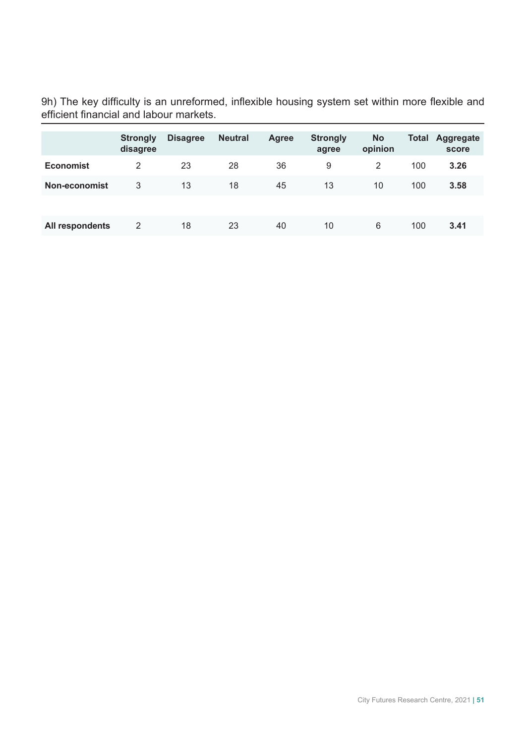9h) The key difficulty is an unreformed, inflexible housing system set within more flexible and efficient financial and labour markets.

|                  | <b>Strongly</b><br>disagree | <b>Disagree</b> | <b>Neutral</b> | Agree | <b>Strongly</b><br>agree | <b>No</b><br>opinion | <b>Total</b> | Aggregate<br>score |
|------------------|-----------------------------|-----------------|----------------|-------|--------------------------|----------------------|--------------|--------------------|
| <b>Economist</b> | 2                           | 23              | 28             | 36    | 9                        | 2                    | 100          | 3.26               |
| Non-economist    | 3                           | 13              | 18             | 45    | 13                       | 10                   | 100          | 3.58               |
|                  |                             |                 |                |       |                          |                      |              |                    |
| All respondents  | 2                           | 18              | 23             | 40    | 10                       | 6                    | 100          | 3.41               |